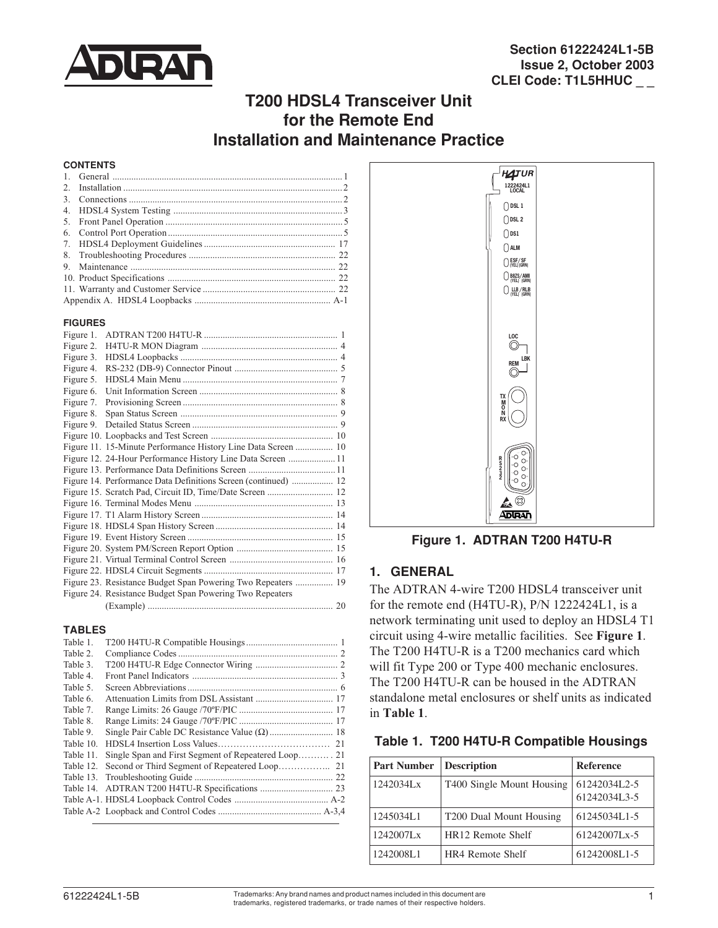

# **T200 HDSL4 Transceiver Unit for the Remote End Installation and Maintenance Practice**

#### **CONTENTS**

#### **FIGURES**

| Figure 11. 15-Minute Performance History Line Data Screen  10  |
|----------------------------------------------------------------|
| Figure 12. 24-Hour Performance History Line Data Screen  11    |
|                                                                |
| Figure 14. Performance Data Definitions Screen (continued)  12 |
|                                                                |
|                                                                |
|                                                                |
|                                                                |
|                                                                |
|                                                                |
|                                                                |
|                                                                |
| Figure 23. Resistance Budget Span Powering Two Repeaters  19   |
| Figure 24. Resistance Budget Span Powering Two Repeaters       |
|                                                                |
|                                                                |

#### **TABLES**

| Table 1.  |  |
|-----------|--|
| Table 2.  |  |
| Table 3.  |  |
| Table 4.  |  |
| Table 5.  |  |
| Table 6.  |  |
| Table 7.  |  |
| Table 8.  |  |
| Table 9.  |  |
| Table 10. |  |
| Table 11. |  |
| Table 12. |  |
| Table 13. |  |
|           |  |
|           |  |
|           |  |
|           |  |



# **Figure 1. ADTRAN T200 H4TU-R**

# **1. GENERAL**

The ADTRAN 4-wire T200 HDSL4 transceiver unit for the remote end (H4TU-R), P/N 1222424L1, is a network terminating unit used to deploy an HDSL4 T1 circuit using 4-wire metallic facilities. See **Figure 1**. The T200 H4TU-R is a T200 mechanics card which will fit Type 200 or Type 400 mechanic enclosures. The T200 H4TU-R can be housed in the ADTRAN standalone metal enclosures or shelf units as indicated in **Table 1**.

| <b>Part Number</b> | <b>Description</b>        | <b>Reference</b>             |
|--------------------|---------------------------|------------------------------|
| 1242034Lx          | T400 Single Mount Housing | 61242034L2-5<br>61242034L3-5 |
| 1245034L1          | T200 Dual Mount Housing   | 61245034L1-5                 |
| 1242007Lx          | HR12 Remote Shelf         | 61242007Lx-5                 |
| 1242008L1          | <b>HR4 Remote Shelf</b>   | 61242008L1-5                 |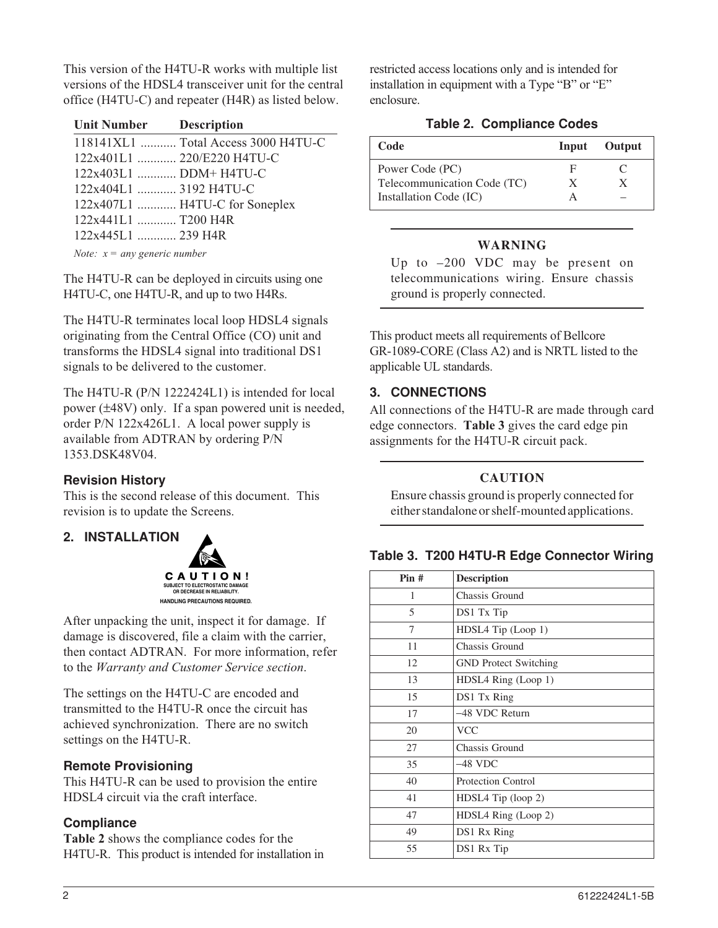This version of the H4TU-R works with multiple list versions of the HDSL4 transceiver unit for the central office (H4TU-C) and repeater (H4R) as listed below.

| Unit Number Description |                                     |
|-------------------------|-------------------------------------|
|                         | 118141XL1  Total Access 3000 H4TU-C |
|                         | 122x401L1  220/E220 H4TU-C          |
| 122x403L1  DDM+ H4TU-C  |                                     |
| 122x404L1  3192 H4TU-C  |                                     |
|                         | 122x407L1  H4TU-C for Soneplex      |
| 122x441L1  T200 H4R     |                                     |
| 122x445L1  239 H4R      |                                     |
|                         |                                     |

*Note: x = any generic number*

The H4TU-R can be deployed in circuits using one H4TU-C, one H4TU-R, and up to two H4Rs.

The H4TU-R terminates local loop HDSL4 signals originating from the Central Office (CO) unit and transforms the HDSL4 signal into traditional DS1 signals to be delivered to the customer.

The H4TU-R (P/N 1222424L1) is intended for local power (±48V) only. If a span powered unit is needed, order P/N 122x426L1. A local power supply is available from ADTRAN by ordering P/N 1353.DSK48V04.

# **Revision History**

This is the second release of this document. This revision is to update the Screens.

# **2. INSTALLATION**



After unpacking the unit, inspect it for damage. If damage is discovered, file a claim with the carrier, then contact ADTRAN. For more information, refer to the *Warranty and Customer Service section*.

The settings on the H4TU-C are encoded and transmitted to the H4TU-R once the circuit has achieved synchronization. There are no switch settings on the H4TU-R.

#### **Remote Provisioning**

This H4TU-R can be used to provision the entire HDSL4 circuit via the craft interface.

#### **Compliance**

**Table 2** shows the compliance codes for the H4TU-R. This product is intended for installation in restricted access locations only and is intended for installation in equipment with a Type "B" or "E" enclosure.

**Table 2. Compliance Codes**

| Code                        |   | Input Output |
|-----------------------------|---|--------------|
| Power Code (PC)             | ы |              |
| Telecommunication Code (TC) | X |              |
| Installation Code (IC)      |   |              |

## **WARNING**

Up to –200 VDC may be present on telecommunications wiring. Ensure chassis ground is properly connected.

This product meets all requirements of Bellcore GR-1089-CORE (Class A2) and is NRTL listed to the applicable UL standards.

# **3. CONNECTIONS**

All connections of the H4TU-R are made through card edge connectors. **Table 3** gives the card edge pin assignments for the H4TU-R circuit pack.

# **CAUTION**

Ensure chassis ground is properly connected for either standalone or shelf-mounted applications.

# **Table 3. T200 H4TU-R Edge Connector Wiring**

| Pin# | <b>Description</b>           |  |
|------|------------------------------|--|
| 1    | Chassis Ground               |  |
| 5    | DS1 Tx Tip                   |  |
| 7    | $HDSL4$ Tip (Loop 1)         |  |
| 11   | Chassis Ground               |  |
| 12   | <b>GND</b> Protect Switching |  |
| 13   | HDSL4 Ring (Loop 1)          |  |
| 15   | DS1 Tx Ring                  |  |
| 17   | -48 VDC Return               |  |
| 20   | <b>VCC</b>                   |  |
| 27   | Chassis Ground               |  |
| 35   | $-48$ VDC                    |  |
| 40   | <b>Protection Control</b>    |  |
| 41   | $HDSL4$ Tip (loop 2)         |  |
| 47   | HDSL4 Ring (Loop 2)          |  |
| 49   | DS1 Rx Ring                  |  |
| 55   | DS1 Rx Tip                   |  |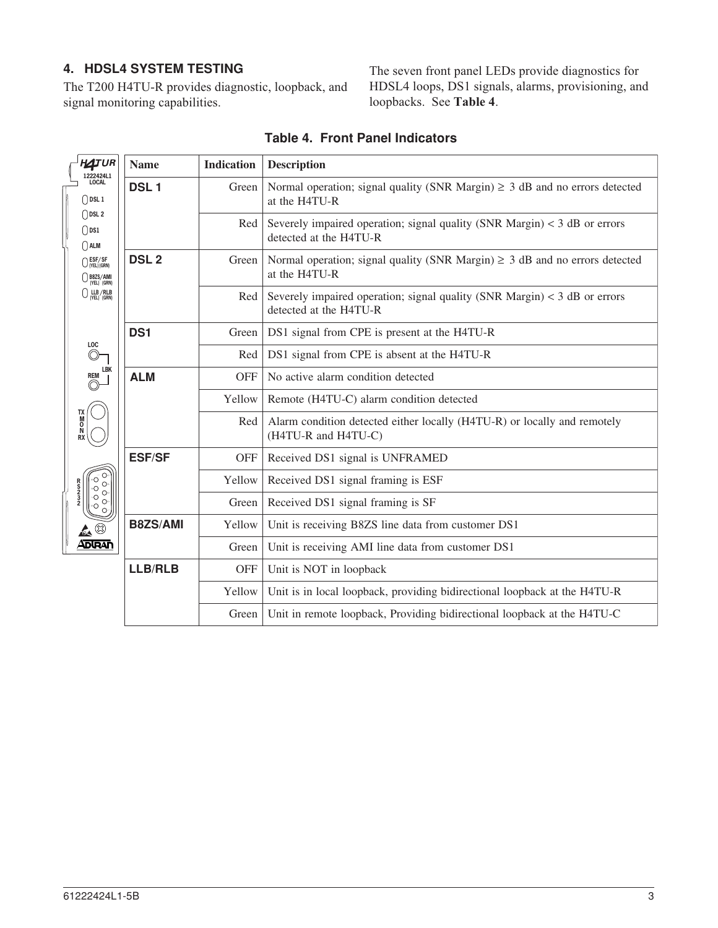# **4. HDSL4 SYSTEM TESTING**

The T200 H4TU-R provides diagnostic, loopback, and signal monitoring capabilities.

The seven front panel LEDs provide diagnostics for HDSL4 loops, DS1 signals, alarms, provisioning, and loopbacks. See **Table 4**.

| <b>MODES</b>                                                             | <b>Name</b>     | <b>Indication</b> | <b>Description</b>                                                                                    |  |  |  |
|--------------------------------------------------------------------------|-----------------|-------------------|-------------------------------------------------------------------------------------------------------|--|--|--|
| 1222424L1<br>LOCAL<br>$\bigcap$ DSL 1                                    | <b>DSL1</b>     | Green             | Normal operation; signal quality (SNR Margin) $\geq$ 3 dB and no errors detected<br>at the H4TU-R     |  |  |  |
| $\bigcap$ DSL 2<br>$\bigcap$ DS1<br>$\bigcap$ ALM                        |                 | Red               | Severely impaired operation; signal quality (SNR Margin) $<$ 3 dB or errors<br>detected at the H4TU-R |  |  |  |
| $\bigcirc$ esf/sf<br>(Yel) (Grn)<br><sup>O</sup> B8ZS/AMI<br>(YEL) (GRN) | <b>DSL2</b>     | Green             | Normal operation; signal quality (SNR Margin) $\geq$ 3 dB and no errors detected<br>at the H4TU-R     |  |  |  |
| LLB / RLB<br>(YEL) (GRN)                                                 |                 | Red               | Severely impaired operation; signal quality (SNR Margin) $<$ 3 dB or errors<br>detected at the H4TU-R |  |  |  |
|                                                                          | DS1             | Green             | DS1 signal from CPE is present at the H4TU-R                                                          |  |  |  |
| <b>LOC</b><br>∩                                                          |                 | Red               | DS1 signal from CPE is absent at the H4TU-R                                                           |  |  |  |
| LBK                                                                      | <b>ALM</b>      | <b>OFF</b>        | No active alarm condition detected                                                                    |  |  |  |
|                                                                          |                 | Yellow            | Remote (H4TU-C) alarm condition detected                                                              |  |  |  |
| TX<br>M<br>O<br>N                                                        |                 | Red               | Alarm condition detected either locally (H4TU-R) or locally and remotely<br>(H4TU-R and H4TU-C)       |  |  |  |
|                                                                          | <b>ESF/SF</b>   | <b>OFF</b>        | Received DS1 signal is UNFRAMED                                                                       |  |  |  |
| ↷                                                                        |                 | Yellow            | Received DS1 signal framing is ESF                                                                    |  |  |  |
| О∾                                                                       |                 | Green             | Received DS1 signal framing is SF                                                                     |  |  |  |
|                                                                          | <b>B8ZS/AMI</b> | Yellow            | Unit is receiving B8ZS line data from customer DS1                                                    |  |  |  |
| <b>ADIRAN</b>                                                            |                 | Green             | Unit is receiving AMI line data from customer DS1                                                     |  |  |  |
|                                                                          | <b>LLB/RLB</b>  | <b>OFF</b>        | Unit is NOT in loopback                                                                               |  |  |  |
|                                                                          |                 | Yellow            | Unit is in local loopback, providing bidirectional loopback at the H4TU-R                             |  |  |  |
|                                                                          |                 | Green             | Unit in remote loopback, Providing bidirectional loopback at the H4TU-C                               |  |  |  |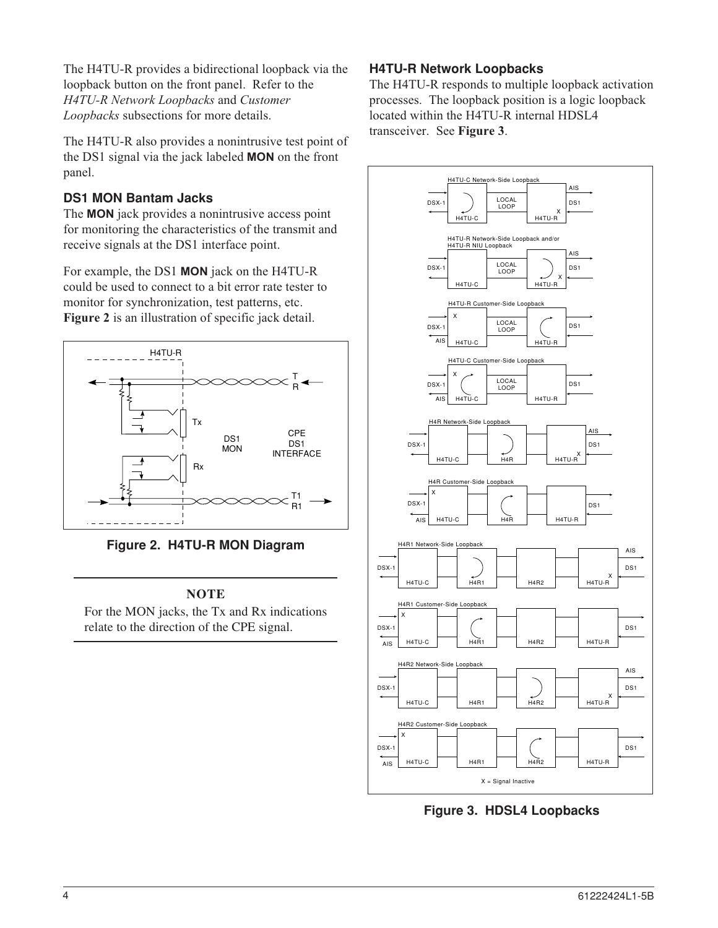The H4TU-R provides a bidirectional loopback via the loopback button on the front panel. Refer to the *H4TU-R Network Loopbacks* and *Customer Loopbacks* subsections for more details.

The H4TU-R also provides a nonintrusive test point of the DS1 signal via the jack labeled **MON** on the front panel.

# **DS1 MON Bantam Jacks**

The **MON** jack provides a nonintrusive access point for monitoring the characteristics of the transmit and receive signals at the DS1 interface point.

For example, the DS1 **MON** jack on the H4TU-R could be used to connect to a bit error rate tester to monitor for synchronization, test patterns, etc. **Figure 2** is an illustration of specific jack detail.



**Figure 2. H4TU-R MON Diagram**

# **NOTE**

For the MON jacks, the Tx and Rx indications relate to the direction of the CPE signal.

# **H4TU-R Network Loopbacks**

The H4TU-R responds to multiple loopback activation processes. The loopback position is a logic loopback located within the H4TU-R internal HDSL4 transceiver. See **Figure 3**.



**Figure 3. HDSL4 Loopbacks**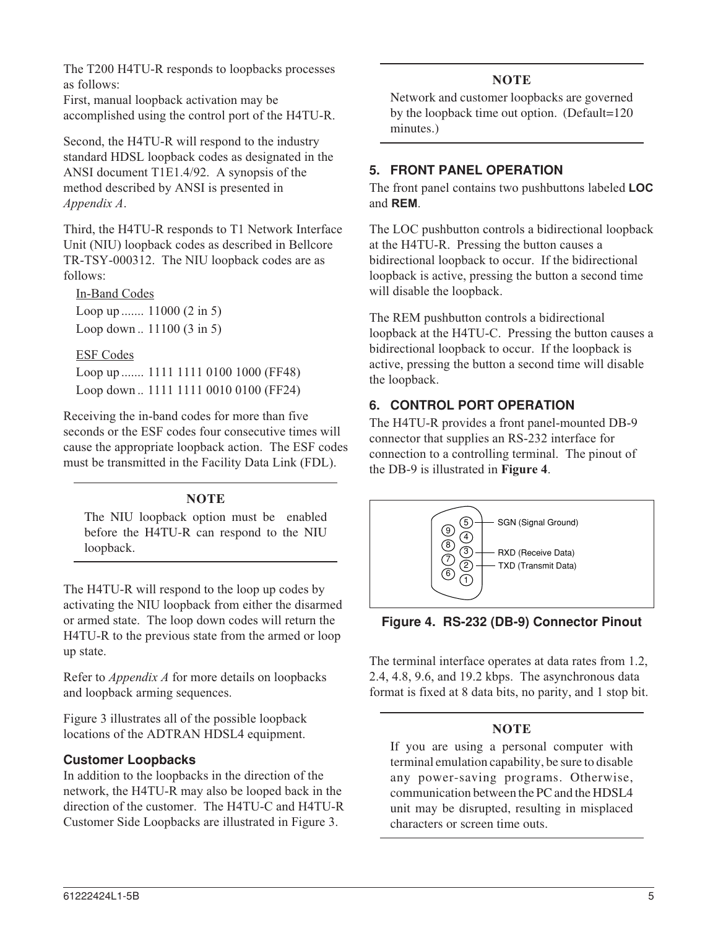The T200 H4TU-R responds to loopbacks processes as follows:

First, manual loopback activation may be accomplished using the control port of the H4TU-R.

Second, the H4TU-R will respond to the industry standard HDSL loopback codes as designated in the ANSI document T1E1.4/92. A synopsis of the method described by ANSI is presented in *Appendix A*.

Third, the H4TU-R responds to T1 Network Interface Unit (NIU) loopback codes as described in Bellcore TR-TSY-000312. The NIU loopback codes are as follows:

In-Band Codes

Loop up ....... 11000 (2 in 5) Loop down .. 11100 (3 in 5)

#### ESF Codes

Loop up ....... 1111 1111 0100 1000 (FF48) Loop down .. 1111 1111 0010 0100 (FF24)

Receiving the in-band codes for more than five seconds or the ESF codes four consecutive times will cause the appropriate loopback action. The ESF codes must be transmitted in the Facility Data Link (FDL).

#### **NOTE**

The NIU loopback option must be enabled before the H4TU-R can respond to the NIU loopback.

The H4TU-R will respond to the loop up codes by activating the NIU loopback from either the disarmed or armed state. The loop down codes will return the H4TU-R to the previous state from the armed or loop up state.

Refer to *Appendix A* for more details on loopbacks and loopback arming sequences.

Figure 3 illustrates all of the possible loopback locations of the ADTRAN HDSL4 equipment.

#### **Customer Loopbacks**

In addition to the loopbacks in the direction of the network, the H4TU-R may also be looped back in the direction of the customer. The H4TU-C and H4TU-R Customer Side Loopbacks are illustrated in Figure 3.

#### **NOTE**

Network and customer loopbacks are governed by the loopback time out option. (Default=120 minutes.)

#### **5. FRONT PANEL OPERATION**

The front panel contains two pushbuttons labeled **LOC** and **REM**.

The LOC pushbutton controls a bidirectional loopback at the H4TU-R. Pressing the button causes a bidirectional loopback to occur. If the bidirectional loopback is active, pressing the button a second time will disable the loopback.

The REM pushbutton controls a bidirectional loopback at the H4TU-C. Pressing the button causes a bidirectional loopback to occur. If the loopback is active, pressing the button a second time will disable the loopback.

# **6. CONTROL PORT OPERATION**

The H4TU-R provides a front panel-mounted DB-9 connector that supplies an RS-232 interface for connection to a controlling terminal. The pinout of the DB-9 is illustrated in **Figure 4**.

![](_page_4_Figure_24.jpeg)

**Figure 4. RS-232 (DB-9) Connector Pinout**

The terminal interface operates at data rates from 1.2, 2.4, 4.8, 9.6, and 19.2 kbps. The asynchronous data format is fixed at 8 data bits, no parity, and 1 stop bit.

# **NOTE**

If you are using a personal computer with terminal emulation capability, be sure to disable any power-saving programs. Otherwise, communication between the PC and the HDSL4 unit may be disrupted, resulting in misplaced characters or screen time outs.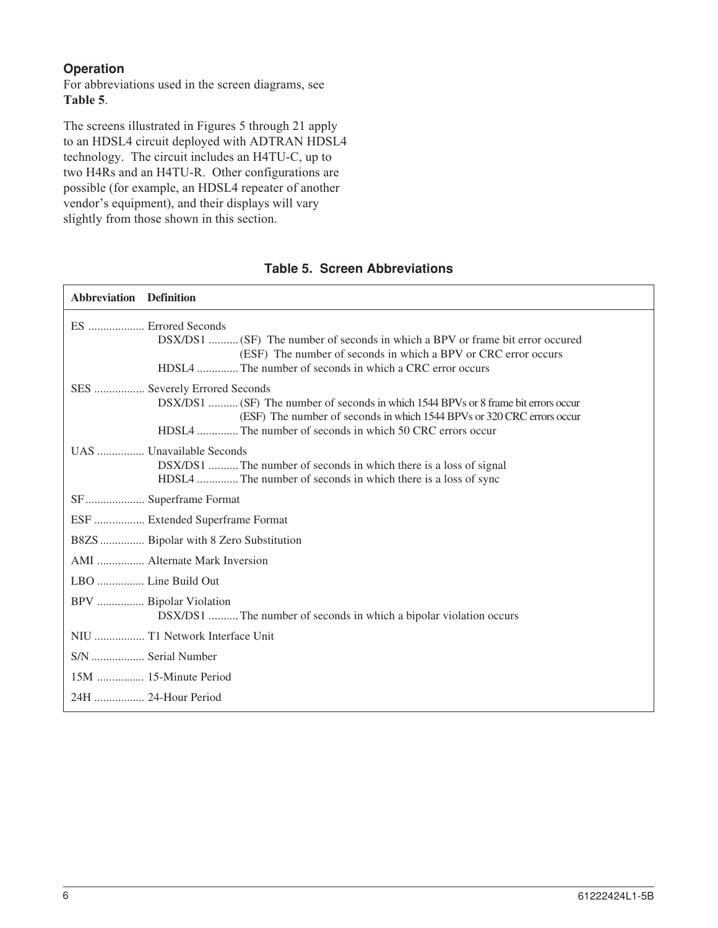# **Operation**

For abbreviations used in the screen diagrams, see **Table 5**.

The screens illustrated in Figures 5 through 21 apply to an HDSL4 circuit deployed with ADTRAN HDSL4 technology. The circuit includes an H4TU-C, up to two H4Rs and an H4TU-R. Other configurations are possible (for example, an HDSL4 repeater of another vendor's equipment), and their displays will vary slightly from those shown in this section.

| <b>Definition</b><br>Abbreviation                                                                                                                                                                                                                         |  |  |  |  |
|-----------------------------------------------------------------------------------------------------------------------------------------------------------------------------------------------------------------------------------------------------------|--|--|--|--|
| DSX/DS1  (SF) The number of seconds in which a BPV or frame bit error occured<br>(ESF) The number of seconds in which a BPV or CRC error occurs<br>HDSL4The number of seconds in which a CRC error occurs                                                 |  |  |  |  |
| SES  Severely Errored Seconds<br>DSX/DS1  (SF) The number of seconds in which 1544 BPVs or 8 frame bit errors occur<br>(ESF) The number of seconds in which 1544 BPVs or 320 CRC errors occur<br>HDSL4 The number of seconds in which 50 CRC errors occur |  |  |  |  |
| UAS  Unavailable Seconds<br>DSX/DS1  The number of seconds in which there is a loss of signal<br>HDSL4  The number of seconds in which there is a loss of sync                                                                                            |  |  |  |  |
| SF Superframe Format                                                                                                                                                                                                                                      |  |  |  |  |
| ESF  Extended Superframe Format                                                                                                                                                                                                                           |  |  |  |  |
| B8ZS  Bipolar with 8 Zero Substitution                                                                                                                                                                                                                    |  |  |  |  |
| AMI  Alternate Mark Inversion                                                                                                                                                                                                                             |  |  |  |  |
| LBO  Line Build Out                                                                                                                                                                                                                                       |  |  |  |  |
| BPV  Bipolar Violation<br>DSX/DS1  The number of seconds in which a bipolar violation occurs                                                                                                                                                              |  |  |  |  |
| NIU  T1 Network Interface Unit                                                                                                                                                                                                                            |  |  |  |  |
| S/N  Serial Number                                                                                                                                                                                                                                        |  |  |  |  |
| 15M  15-Minute Period                                                                                                                                                                                                                                     |  |  |  |  |
| 24H  24-Hour Period                                                                                                                                                                                                                                       |  |  |  |  |

# **Table 5. Screen Abbreviations**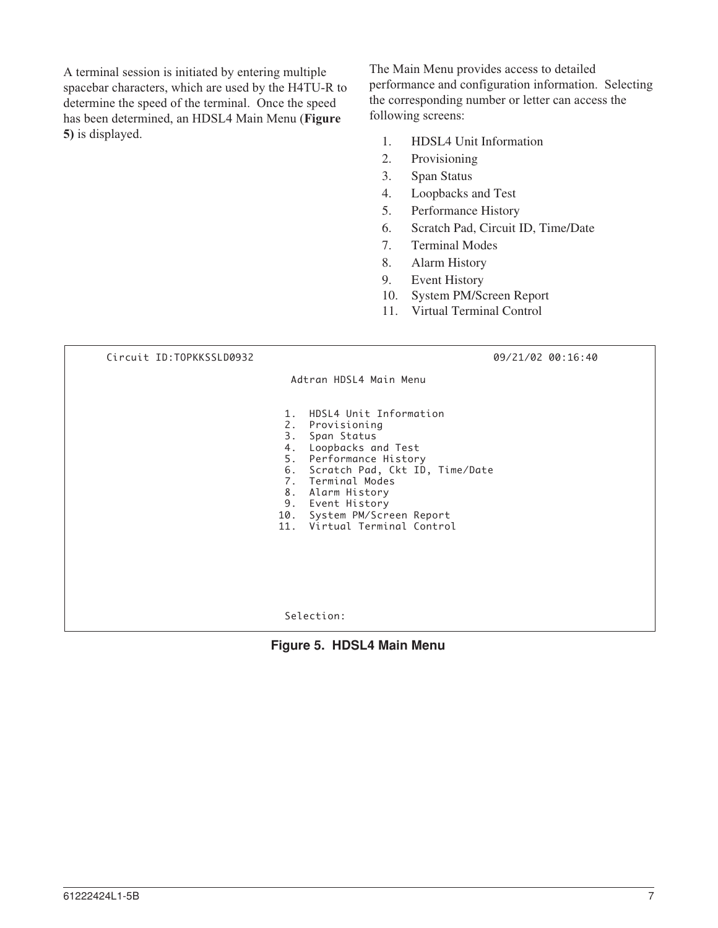A terminal session is initiated by entering multiple spacebar characters, which are used by the H4TU-R to determine the speed of the terminal. Once the speed has been determined, an HDSL4 Main Menu (**Figure 5)** is displayed.

The Main Menu provides access to detailed performance and configuration information. Selecting the corresponding number or letter can access the following screens:

- 1. HDSL4 Unit Information
- 2. Provisioning
- 3. Span Status
- 4. Loopbacks and Test
- 5. Performance History
- 6. Scratch Pad, Circuit ID, Time/Date
- 7. Terminal Modes
- 8. Alarm History
- 9. Event History
- 10. System PM/Screen Report
- 11. Virtual Terminal Control

Circuit ID:TOPKKSSLD0932 09:16:40 Adtran HDSL4 Main Menu 1. HDSL4 Unit Information 2. Provisioning 3. Span Status 4. Loopbacks and Test 5. Performance History 6. Scratch Pad, Ckt ID, Time/Date 7. Terminal Modes 8. Alarm History 9. Event History 10. System PM/Screen Report 11. Virtual Terminal Control Selection:

# **Figure 5. HDSL4 Main Menu**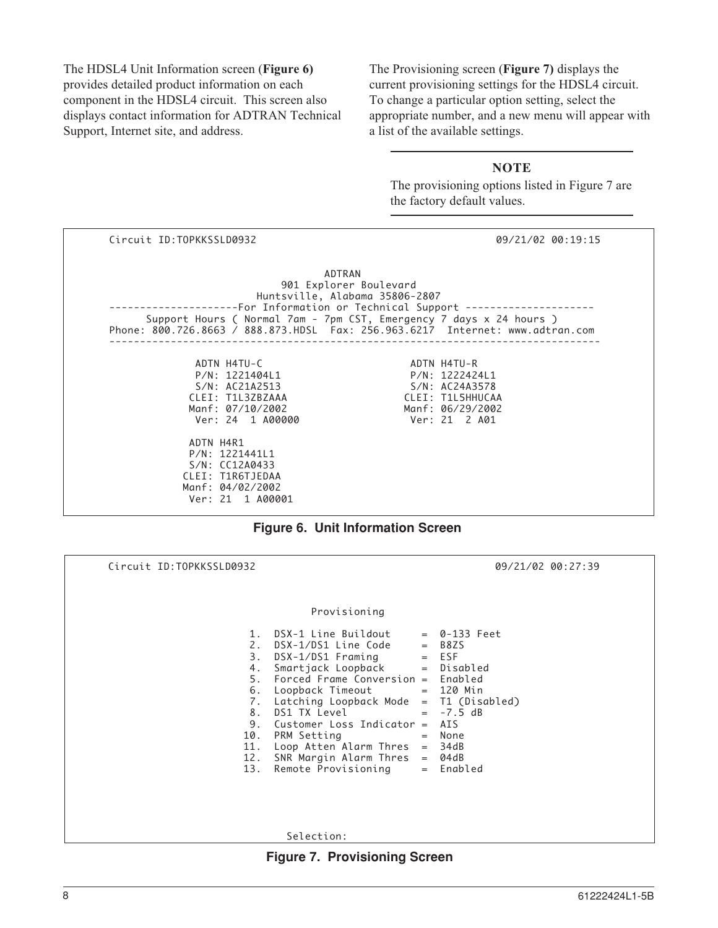The HDSL4 Unit Information screen (**Figure 6)** provides detailed product information on each component in the HDSL4 circuit. This screen also displays contact information for ADTRAN Technical Support, Internet site, and address.

The Provisioning screen (**Figure 7)** displays the current provisioning settings for the HDSL4 circuit. To change a particular option setting, select the appropriate number, and a new menu will appear with a list of the available settings.

#### **NOTE**

The provisioning options listed in Figure 7 are the factory default values.

Circuit ID:TOPKKSSLD0932 09/21/02 00:19:15 ADTRAN 901 Explorer Boulevard Huntsville, Alabama 35806-2807 ---------------------For Information or Technical Support --------------------- Support Hours ( Normal 7am - 7pm CST, Emergency 7 days x 24 hours ) Phone: 800.726.8663 / 888.873.HDSL Fax: 256.963.6217 Internet: www.adtran.com -------------------------------------------------------------------------------- ADTN H4TU-C ADTN H4TU-R P/N: 1221404L1 P/N: 1222424L1<br>S/N: AC21A2513 S/N: AC24A3578 S/N: AC21A2513 S/N: AC24A3578 CLEI: T1L3ZBZAAA CLEI: T1L5HHUCAA Manf: 07/10/2002 Manf: 06/29/2002 Ver: 24 1 A00000 ADTN H4R1 P/N: 1221441L1 S/N: CC12A0433 CLEI: T1R6TJEDAA Manf: 04/02/2002 Ver: 21 1 A00001

![](_page_7_Figure_5.jpeg)

| Circuit ID:TOPKKSSLD0932 |                                                                                                                                                                                                                                     | 09/21/02 00:27:39            |
|--------------------------|-------------------------------------------------------------------------------------------------------------------------------------------------------------------------------------------------------------------------------------|------------------------------|
| 1.                       | Provisioning<br>DSX-1 Line Buildout<br>2. DSX-1/DS1 Line Code                                                                                                                                                                       | $= 0 - 133$ Feet<br>$=$ B8ZS |
| 8.<br>9.                 | 3. DSX-1/DS1 Framing = ESF<br>4. Smartjack Loopback = Disabled<br>5. Forced Frame Conversion = Enabled<br>6. Loopback Timeout = 120 Min<br>7. Latching Loopback Mode = T1 (Disabled)<br>DS1 TX Level<br>Customer Loss Indicator $=$ | $= -7.5 dB$<br>AIS           |
| 10.<br>13.               | PRM Setting<br>11. Loop Atten Alarm Thres = 34dB<br>12. SNR Margin Alarm Thres = 04dB<br>Remote Provisioning                                                                                                                        | $=$ None<br>= Enabled        |
|                          | Selection:                                                                                                                                                                                                                          |                              |

**Figure 7. Provisioning Screen**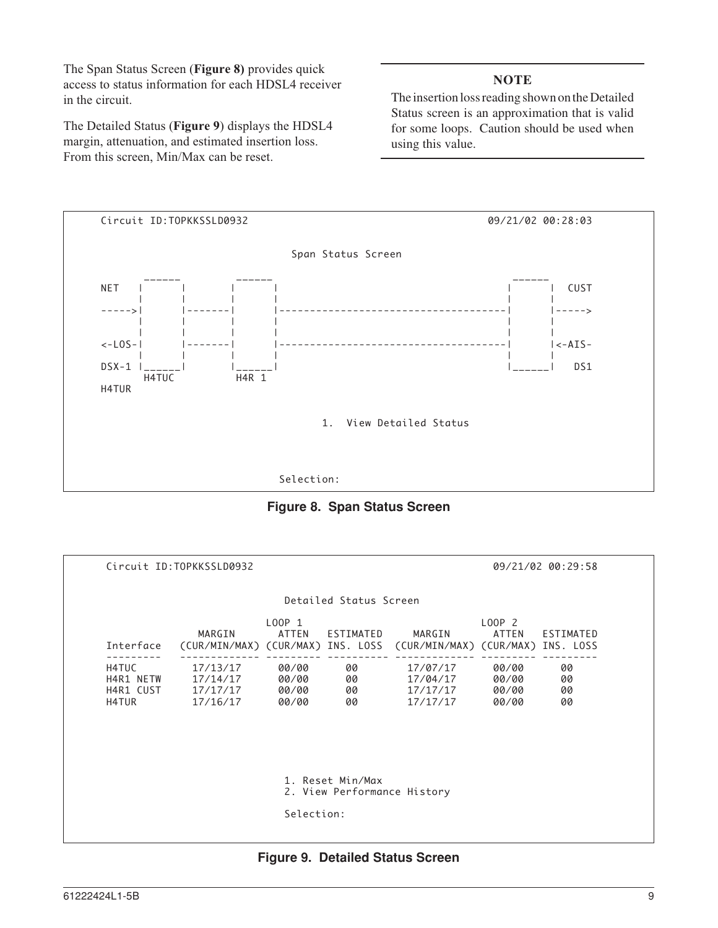The Span Status Screen (**Figure 8)** provides quick access to status information for each HDSL4 receiver in the circuit.

The Detailed Status (**Figure 9**) displays the HDSL4 margin, attenuation, and estimated insertion loss. From this screen, Min/Max can be reset.

#### **NOTE**

The insertion loss reading shown on the Detailed Status screen is an approximation that is valid for some loops. Caution should be used when using this value.

![](_page_8_Figure_4.jpeg)

**Figure 8. Span Status Screen**

| Circuit ID:TOPKKSSLD0932<br>09/21/02 00:29:58   |                                              |                                  |                                                 |                                              |                                   |                      |
|-------------------------------------------------|----------------------------------------------|----------------------------------|-------------------------------------------------|----------------------------------------------|-----------------------------------|----------------------|
| Detailed Status Screen                          |                                              |                                  |                                                 |                                              |                                   |                      |
| Interface                                       | MARGIN<br>(CUR/MIN/MAX) (CUR/MAX) INS. LOSS  | LOOP <sub>1</sub><br>ATTEN       | ESTIMATED                                       | MARGIN<br>(CUR/MIN/MAX) (CUR/MAX) INS. LOSS  | LOOP <sub>2</sub><br><b>ATTEN</b> | ESTIMATED            |
| H4TUC<br>H4R1 NETW<br>H4R1 CUST<br><b>H4TUR</b> | 17/13/17<br>17/14/17<br>17/17/17<br>17/16/17 | 00/00<br>00/00<br>00/00<br>00/00 | 00<br>00<br>00<br>00                            | 17/07/17<br>17/04/17<br>17/17/17<br>17/17/17 | 00/00<br>00/00<br>00/00<br>00/00  | 00<br>00<br>00<br>00 |
|                                                 |                                              | Selection:                       | 1. Reset Min/Max<br>2. View Performance History |                                              |                                   |                      |

**Figure 9. Detailed Status Screen**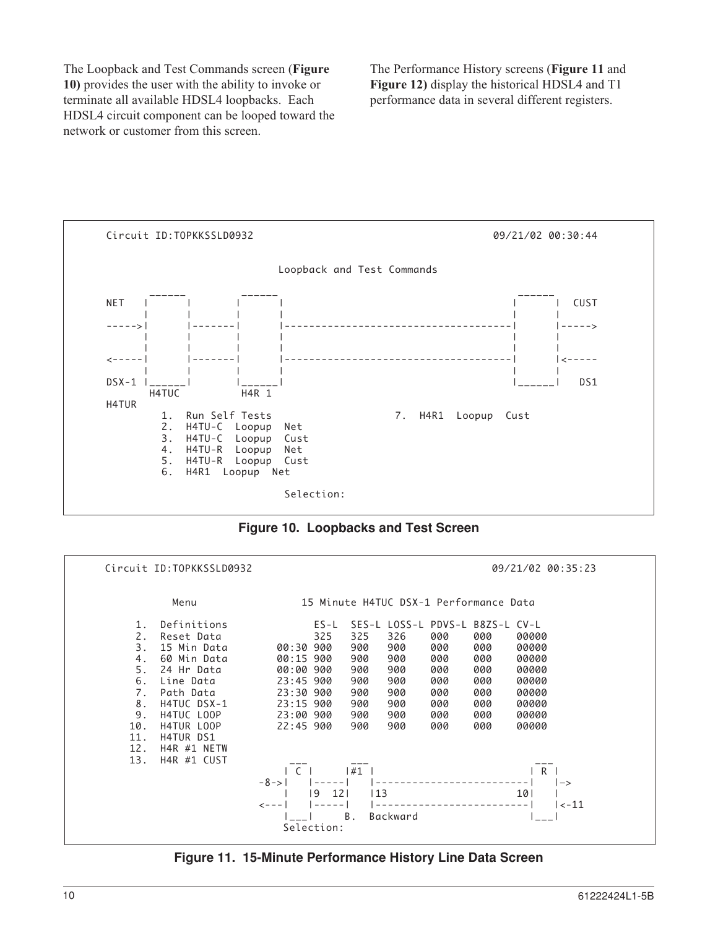The Loopback and Test Commands screen (**Figure 10)** provides the user with the ability to invoke or terminate all available HDSL4 loopbacks. Each HDSL4 circuit component can be looped toward the network or customer from this screen.

The Performance History screens (**Figure 11** and **Figure 12)** display the historical HDSL4 and T1 performance data in several different registers.

![](_page_9_Figure_2.jpeg)

**Figure 10. Loopbacks and Test Screen**

![](_page_9_Figure_4.jpeg)

**Figure 11. 15-Minute Performance History Line Data Screen**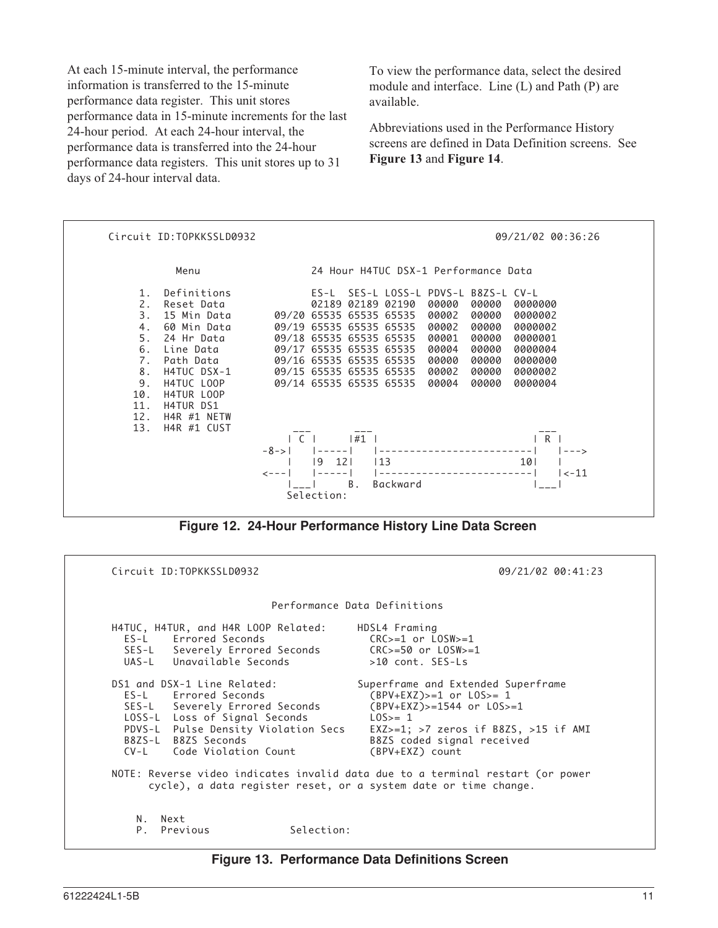At each 15-minute interval, the performance information is transferred to the 15-minute performance data register. This unit stores performance data in 15-minute increments for the last 24-hour period. At each 24-hour interval, the performance data is transferred into the 24-hour performance data registers. This unit stores up to 31 days of 24-hour interval data.

To view the performance data, select the desired module and interface. Line (L) and Path (P) are available.

Abbreviations used in the Performance History screens are defined in Data Definition screens. See **Figure 13** and **Figure 14**.

| Circuit ID: TOPKKSSLD0932                                                                                                                                                                                                                                                      | 09/21/02 00:36:26                                                                                                                                                                                                                                                                                                                                                                                                                                                                                                                                                                                                                       |
|--------------------------------------------------------------------------------------------------------------------------------------------------------------------------------------------------------------------------------------------------------------------------------|-----------------------------------------------------------------------------------------------------------------------------------------------------------------------------------------------------------------------------------------------------------------------------------------------------------------------------------------------------------------------------------------------------------------------------------------------------------------------------------------------------------------------------------------------------------------------------------------------------------------------------------------|
| Menu                                                                                                                                                                                                                                                                           | 24 Hour H4TUC DSX-1 Performance Data                                                                                                                                                                                                                                                                                                                                                                                                                                                                                                                                                                                                    |
| Definitions<br>$1$ .<br>2.<br>Reset Data<br>3.<br>15 Min Data<br>60 Min Data<br>4.<br>5.<br>24 Hr Data<br>6.<br>Line Data<br>Path Data<br>7.<br>8.<br>H4TUC DSX-1<br>9.<br>H4TUC LOOP<br>H4TUR LOOP<br>10.<br>H4TUR DS1<br>11.<br>12.<br>H4R $#1$ NETW<br>H4R $#1$ CUST<br>13. | ES-L SES-L LOSS-L PDVS-L B8ZS-L CV-L<br>00000<br>00000<br>02189 02189 02190<br>0000000<br>09/20 65535 65535 65535<br>00002<br>00000<br>0000002<br>09/19 65535 65535 65535<br>00002<br>00000<br>0000002<br>09/18 65535 65535 65535<br>00001<br>00000<br>0000001<br>00000<br>09/17 65535 65535 65535<br>00004<br>0000004<br>09/16 65535 65535 65535<br>00000<br>00000<br>0000000<br>00002<br>00000<br>09/15 65535 65535 65535<br>0000002<br>09/14 65535 65535 65535<br>00004<br>00000<br>0000004<br>$\overline{C}$<br> #1  <br>R<br>$-8 - > 1$<br>121<br>113<br>10<br>9<br>$\sim$ -11<br>$\leftarrow - -$<br>B.<br>Backward<br>Selection: |

**Figure 12. 24-Hour Performance History Line Data Screen**

Circuit ID:TOPKKSSLD0932 09/21/02 00:41:23 Performance Data Definitions H4TUC, H4TUR, and H4R LOOP Related: HDSL4 Framing<br>ES-L Errored Seconds (RC>=1 or LO ES-L Errored Seconds CRC>=1 or LOSW>=1 Severely Errored Seconds CRC>=50 or LOSW>=<br>Unavailable Seconds >10 cont. SES-Ls UAS-L Unavailable Seconds DS1 and DSX-1 Line Related: Superframe and Extended Superframe<br>ES-L Errored Seconds (BPV+EXZ)>=1 or LOS>= 1 ES-L Errored Seconds (BPV+EXZ)>=1 or LOS>= 1 Severely Errored Seconds (BPV+EXZ)<br>Loss of Sianal Seconds LOS>= 1 LOSS-L Loss of Signal Seconds PDVS-L Pulse Density Violation Secs EXZ>=1; >7 zeros if B8ZS, >15 if AMI B8ZS coded signal received CV-L Code Violation Count (BPV+EXZ) count NOTE: Reverse video indicates invalid data due to a terminal restart (or power cycle), a data register reset, or a system date or time change. N. Next P. Previous Selection:

**Figure 13. Performance Data Definitions Screen**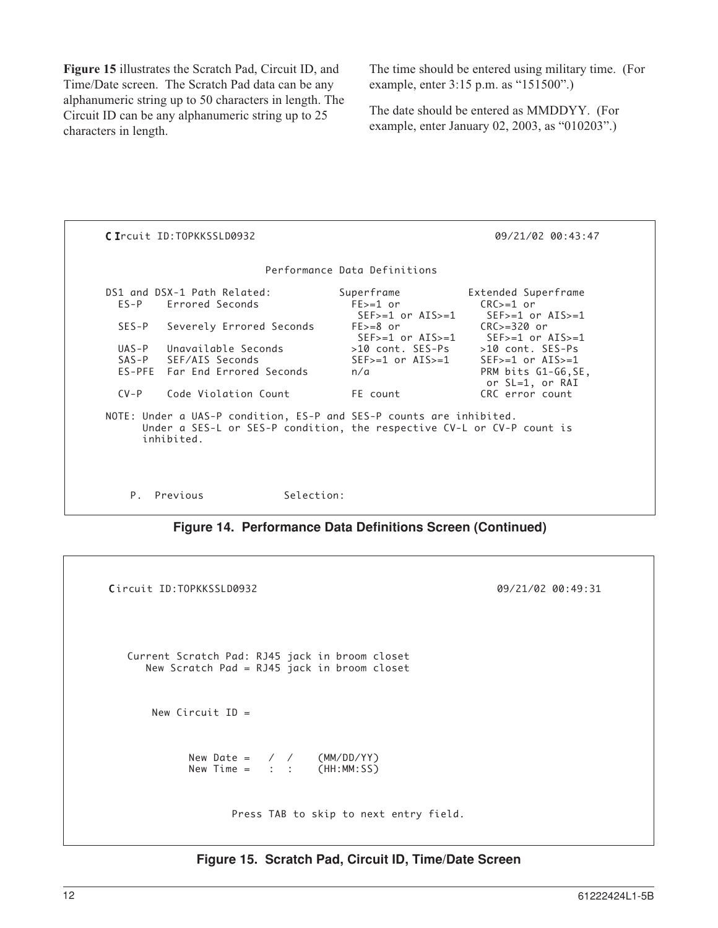**Figure 15** illustrates the Scratch Pad, Circuit ID, and Time/Date screen. The Scratch Pad data can be any alphanumeric string up to 50 characters in length. The Circuit ID can be any alphanumeric string up to 25 characters in length.

The time should be entered using military time. (For example, enter 3:15 p.m. as "151500".)

The date should be entered as MMDDYY. (For example, enter January 02, 2003, as "010203".)

C Ircuit ID:TOPKKSSLD0932 09/21/02 00:43:47 Performance Data Definitions DS1 and DSX-1 Path Related: Superframe Extended Superframe<br>
ES-P Errored Seconds FE>=1 or CRC>=1 or Errored Seconds FE>=1 or CRC>=1 or<br>SEF>=1 or AIS>=1 SEF>=1 or AIS>=1 SEF>=1 or AIS>=1 SEF>=1 or AIS>=1 Severely Errored Seconds FE>=8 or CRC>=320 or<br>SEF>=1 or AIS>=1 SEF>=1 or AIS>=1 SEF>=1 or AIS>=1 SEF>=1 or AIS>=1<br>>10 cont. SES-Ps >10 cont. SES-Ps UAS-P Unavailable Seconds >10 cont. SES-Ps<br>SAS-P SEF/AIS Seconds > SEF>=1 or AIS>=1 SEF>=1 or AIS>=1 SEF>=1 or AIS>=1<br>n/a PRM bits G1-G6,SE, ES-PFE Far End Errored Seconds n/a or SL=1, or RAI Code Violation Count NOTE: Under a UAS-P condition, ES-P and SES-P counts are inhibited. Under a SES-L or SES-P condition, the respective CV-L or CV-P count is inhibited. P. Previous Selection:

![](_page_11_Figure_4.jpeg)

Circuit ID:TOPKKSSLD0932 09:49:31 09/21/02 00:49:31 Current Scratch Pad: RJ45 jack in broom closet New Scratch Pad = RJ45 jack in broom closet New Circuit  $ID =$ New Date =  $\frac{\sqrt{7}}{2}$  (MM/DD/YY) New Time =  $: :$  (HH:MM:SS) Press TAB to skip to next entry field.

**Figure 15. Scratch Pad, Circuit ID, Time/Date Screen**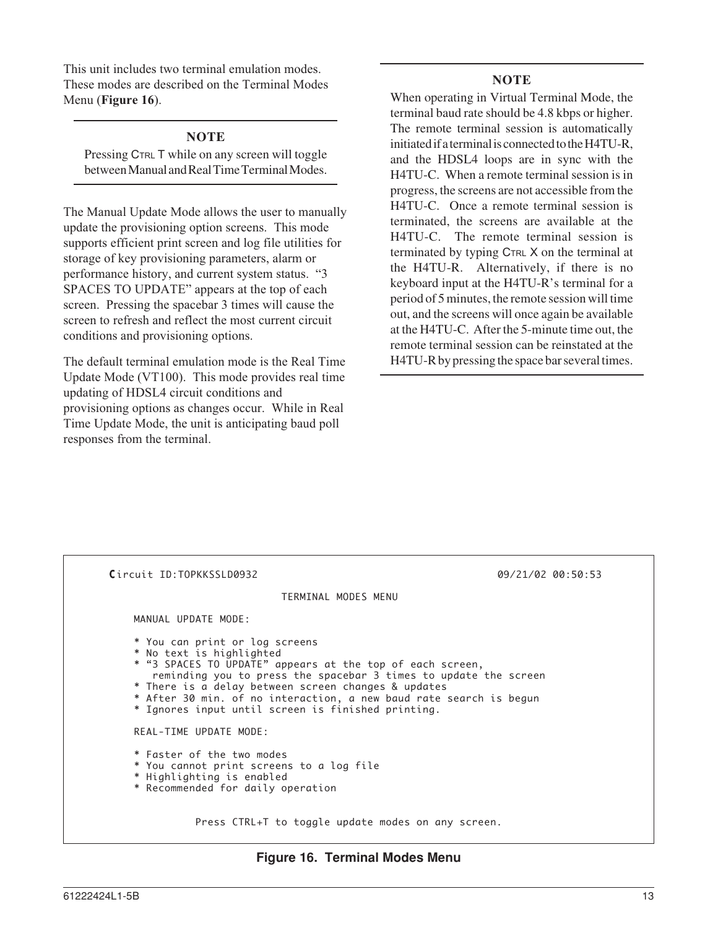This unit includes two terminal emulation modes. These modes are described on the Terminal Modes Menu (**Figure 16**).

#### **NOTE**

Pressing CTRL T while on any screen will toggle between Manual and Real Time Terminal Modes.

The Manual Update Mode allows the user to manually update the provisioning option screens. This mode supports efficient print screen and log file utilities for storage of key provisioning parameters, alarm or performance history, and current system status. "3 SPACES TO UPDATE" appears at the top of each screen. Pressing the spacebar 3 times will cause the screen to refresh and reflect the most current circuit conditions and provisioning options.

The default terminal emulation mode is the Real Time Update Mode (VT100). This mode provides real time updating of HDSL4 circuit conditions and provisioning options as changes occur. While in Real Time Update Mode, the unit is anticipating baud poll responses from the terminal.

#### **NOTE**

When operating in Virtual Terminal Mode, the terminal baud rate should be 4.8 kbps or higher. The remote terminal session is automatically initiated if a terminal is connected to the H4TU-R, and the HDSL4 loops are in sync with the H4TU-C. When a remote terminal session is in progress, the screens are not accessible from the H4TU-C. Once a remote terminal session is terminated, the screens are available at the H4TU-C. The remote terminal session is terminated by typing CTRL X on the terminal at the H4TU-R. Alternatively, if there is no keyboard input at the H4TU-R's terminal for a period of 5 minutes, the remote session will time out, and the screens will once again be available at the H4TU-C. After the 5-minute time out, the remote terminal session can be reinstated at the H4TU-R by pressing the space bar several times.

| Circuit ID: TOPKKSSLD0932                                                                                                                                                                                                                                                                                                                                                      | 09/21/02 00:50:53 |
|--------------------------------------------------------------------------------------------------------------------------------------------------------------------------------------------------------------------------------------------------------------------------------------------------------------------------------------------------------------------------------|-------------------|
| TERMINAL MODES MENU                                                                                                                                                                                                                                                                                                                                                            |                   |
| MANUAL UPDATE MODE:                                                                                                                                                                                                                                                                                                                                                            |                   |
| * You can print or log screens<br>* No text is highlighted<br>* "3 SPACES TO UPDATE" appears at the top of each screen,<br>reminding you to press the spacebar 3 times to update the screen<br>* There is a delay between screen changes & updates<br>* After 30 min. of no interaction, a new baud rate search is begun<br>* Ignores input until screen is finished printing. |                   |
| REAL-TIME UPDATE MODE:                                                                                                                                                                                                                                                                                                                                                         |                   |
| * Faster of the two modes<br>* You cannot print screens to a log file<br>* Highlighting is enabled<br>* Recommended for daily operation                                                                                                                                                                                                                                        |                   |
| Press CTRL+T to toggle update modes on any screen.                                                                                                                                                                                                                                                                                                                             |                   |

#### **Figure 16. Terminal Modes Menu**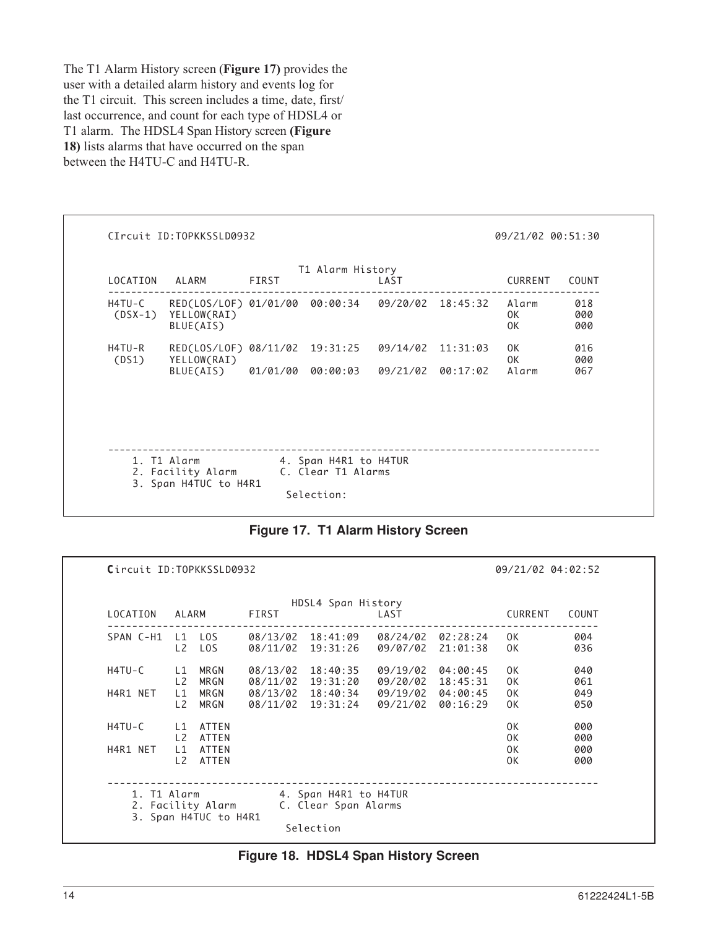The T1 Alarm History screen (**Figure 17)** provides the user with a detailed alarm history and events log for the T1 circuit. This screen includes a time, date, first/ last occurrence, and count for each type of HDSL4 or T1 alarm. The HDSL4 Span History screen **(Figure 18)** lists alarms that have occurred on the span between the H4TU-C and H4TU-R.

| LOCATION            | ALARM                                                     | FIRST    | T1 Alarm History                            | LAST              |                                        | <b>CURRENT</b>    | <b>COUNT</b>      |
|---------------------|-----------------------------------------------------------|----------|---------------------------------------------|-------------------|----------------------------------------|-------------------|-------------------|
| H4TU-C<br>$(DSX-1)$ | RED(LOS/LOF) 01/01/00<br>YELLOW(RAI)<br>BLUE(AIS)         |          | 00:00:34                                    | 09/20/02 18:45:32 |                                        | Alarm<br>0K<br>0K | 018<br>000<br>000 |
| H4TU-R<br>(DS1)     | RED(LOS/LOF) 08/11/02<br>YELLOW(RAI)<br>BLUE(AIS)         | 01/01/00 | 19:31:25<br>00:00:03                        |                   | 09/14/02 11:31:03<br>09/21/02 00:17:02 | 0K<br>0K<br>Alarm | 016<br>000<br>067 |
|                     | 1. T1 Alarm<br>2. Facility Alarm<br>3. Span H4TUC to H4R1 |          | 4. Span H4R1 to H4TUR<br>C. Clear T1 Alarms |                   |                                        |                   |                   |

**Figure 17. T1 Alarm History Screen**

| LOCATION    | ALARM          |        | FIRST             | HDSL4 Span History    | LAST     |          | CURRENT | <b>COUNT</b> |
|-------------|----------------|--------|-------------------|-----------------------|----------|----------|---------|--------------|
|             |                |        |                   |                       |          |          |         |              |
| SPAN C-H1   |                | L1 LOS | 08/13/02 18:41:09 |                       | 08/24/02 | 02:28:24 | OK.     | 004          |
|             | L2             | LOS.   |                   | 08/11/02 19:31:26     | 09/07/02 | 21:01:38 | 0K      | 036          |
| H4TU-C      | L1             | MRGN   | 08/13/02          | 18:40:35              | 09/19/02 | 04:00:45 | 0K      | 040          |
|             | L <sub>2</sub> | MRGN   | 08/11/02          | 19:31:20              | 09/20/02 | 18:45:31 | 0K      | 061          |
| H4R1 NET    | L1             | MRGN   |                   | 08/13/02 18:40:34     | 09/19/02 | 04:00:45 | 0K      | 049          |
|             | L <sub>2</sub> | MRGN   |                   | 08/11/02 19:31:24     | 09/21/02 | 00:16:29 | 0K      | 050          |
| H4TU-C      | L1             | ATTEN  |                   |                       |          |          | 0K      | 000          |
|             | L <sub>2</sub> | ATTEN  |                   |                       |          |          | 0K      | 000          |
| H4R1 NET    | L1             | ATTEN  |                   |                       |          |          | 0K      | 000          |
|             | L <sub>2</sub> | ATTEN  |                   |                       |          |          | 0K      | 000          |
| 1. T1 Alarm |                |        |                   | 4. Span H4R1 to H4TUR |          |          |         |              |

**Figure 18. HDSL4 Span History Screen**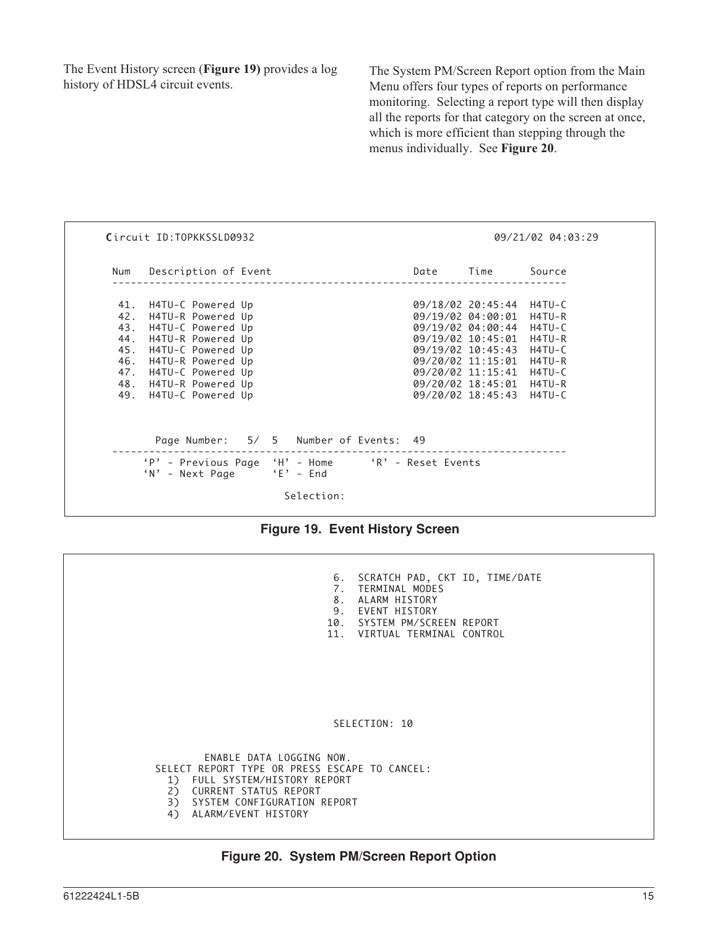The Event History screen (**Figure 19)** provides a log history of HDSL4 circuit events.

The System PM/Screen Report option from the Main Menu offers four types of reports on performance monitoring. Selecting a report type will then display all the reports for that category on the screen at once, which is more efficient than stepping through the menus individually. See **Figure 20**.

| Num | Description of Event                                                           |  |  | Date Time Source                                     |  |
|-----|--------------------------------------------------------------------------------|--|--|------------------------------------------------------|--|
|     | 41. H4TU-C Powered Up                                                          |  |  | 09/18/02 20:45:44 H4TU-C                             |  |
|     | 42. H4TU-R Powered Up                                                          |  |  | 09/19/02 04:00:01 H4TU-R                             |  |
| 43. | H4TU-C Powered Up                                                              |  |  | 09/19/02 04:00:44 H4TU-C                             |  |
| 44. | H4TU-R Powered Up                                                              |  |  | 09/19/02 10:45:01 H4TU-R                             |  |
|     | 45. H4TU-C Powered Up                                                          |  |  | 09/19/02 10:45:43 H4TU-C                             |  |
|     | 46. H4TU-R Powered Up                                                          |  |  | 09/20/02 11:15:01 H4TU-R                             |  |
|     | 47. H4TU-C Powered Up<br>48. H4TU-R Powered Up                                 |  |  | 09/20/02 11:15:41 H4TU-C<br>09/20/02 18:45:01 H4TU-R |  |
|     | 49. H4TU-C Powered Up                                                          |  |  | 09/20/02 18:45:43 H4TU-C                             |  |
|     | Page Number: 5/ 5 Number of Events: 49                                         |  |  |                                                      |  |
|     | 'P' - Previous Page 'H' - Home 'R' - Reset Events<br>'N' - Next Page 'E' - End |  |  |                                                      |  |

![](_page_14_Figure_3.jpeg)

![](_page_14_Figure_4.jpeg)

#### **Figure 20. System PM/Screen Report Option**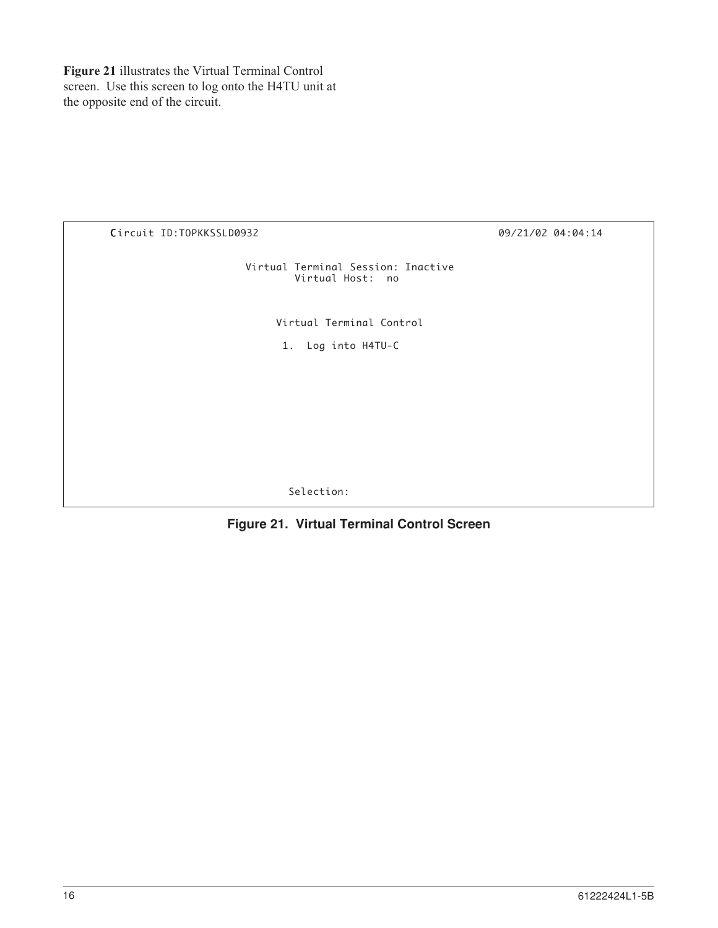**Figure 21** illustrates the Virtual Terminal Control screen. Use this screen to log onto the H4TU unit at the opposite end of the circuit.

| Circuit ID:TOPKKSSLD0932                               | 09/21/02 04:04:14 |
|--------------------------------------------------------|-------------------|
| Virtual Terminal Session: Inactive<br>Virtual Host: no |                   |
| Virtual Terminal Control                               |                   |
| 1. Log into H4TU-C                                     |                   |
|                                                        |                   |
|                                                        |                   |
|                                                        |                   |
|                                                        |                   |
| Selection:                                             |                   |

**Figure 21. Virtual Terminal Control Screen**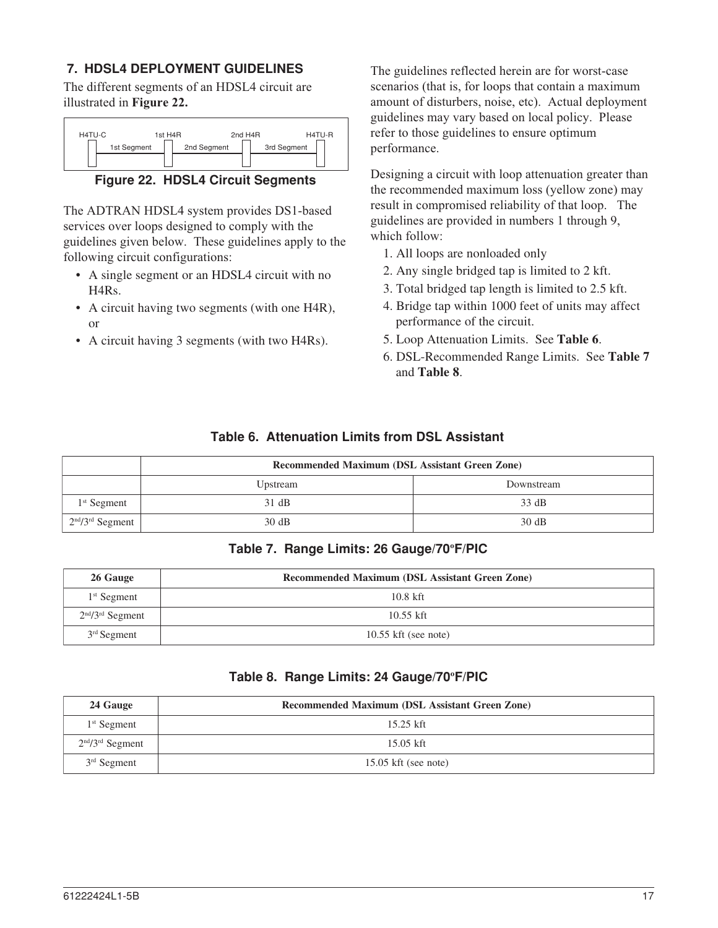# **7. HDSL4 DEPLOYMENT GUIDELINES**

The different segments of an HDSL4 circuit are illustrated in **Figure 22.**

![](_page_16_Figure_2.jpeg)

**Figure 22. HDSL4 Circuit Segments**

The ADTRAN HDSL4 system provides DS1-based services over loops designed to comply with the guidelines given below. These guidelines apply to the following circuit configurations:

- A single segment or an HDSL4 circuit with no H4Rs.
- A circuit having two segments (with one H4R), or
- A circuit having 3 segments (with two H4Rs).

The guidelines reflected herein are for worst-case scenarios (that is, for loops that contain a maximum amount of disturbers, noise, etc). Actual deployment guidelines may vary based on local policy. Please refer to those guidelines to ensure optimum performance.

Designing a circuit with loop attenuation greater than the recommended maximum loss (yellow zone) may result in compromised reliability of that loop. The guidelines are provided in numbers 1 through 9, which follow:

- 1. All loops are nonloaded only
- 2. Any single bridged tap is limited to 2 kft.
- 3. Total bridged tap length is limited to 2.5 kft.
- 4. Bridge tap within 1000 feet of units may affect performance of the circuit.
- 5. Loop Attenuation Limits. See **Table 6**.
- 6. DSL-Recommended Range Limits. See **Table 7** and **Table 8**.

#### **Table 6. Attenuation Limits from DSL Assistant**

|                                          | <b>Recommended Maximum (DSL Assistant Green Zone)</b> |            |  |  |  |
|------------------------------------------|-------------------------------------------------------|------------|--|--|--|
|                                          | Upstream                                              | Downstream |  |  |  |
| $1st$ Segment                            | 31 dB                                                 | 33 dB      |  |  |  |
| 2 <sup>nd</sup> /3 <sup>rd</sup> Segment | 30 dB                                                 | 30 dB      |  |  |  |

## **Table 7. Range Limits: 26 Gauge/70ºF/PIC**

| 26 Gauge                                 | <b>Recommended Maximum (DSL Assistant Green Zone)</b> |
|------------------------------------------|-------------------------------------------------------|
| $1st$ Segment                            | $10.8$ kft                                            |
| 2 <sup>nd</sup> /3 <sup>rd</sup> Segment | $10.55$ kft                                           |
| $3rd$ Segment                            | $10.55$ kft (see note)                                |

# **Table 8. Range Limits: 24 Gauge/70ºF/PIC**

| 24 Gauge          | <b>Recommended Maximum (DSL Assistant Green Zone)</b> |
|-------------------|-------------------------------------------------------|
| $1st$ Segment     | $15.25$ kft                                           |
| $2nd/3rd$ Segment | $15.05$ kft                                           |
| $3rd$ Segment     | $15.05$ kft (see note)                                |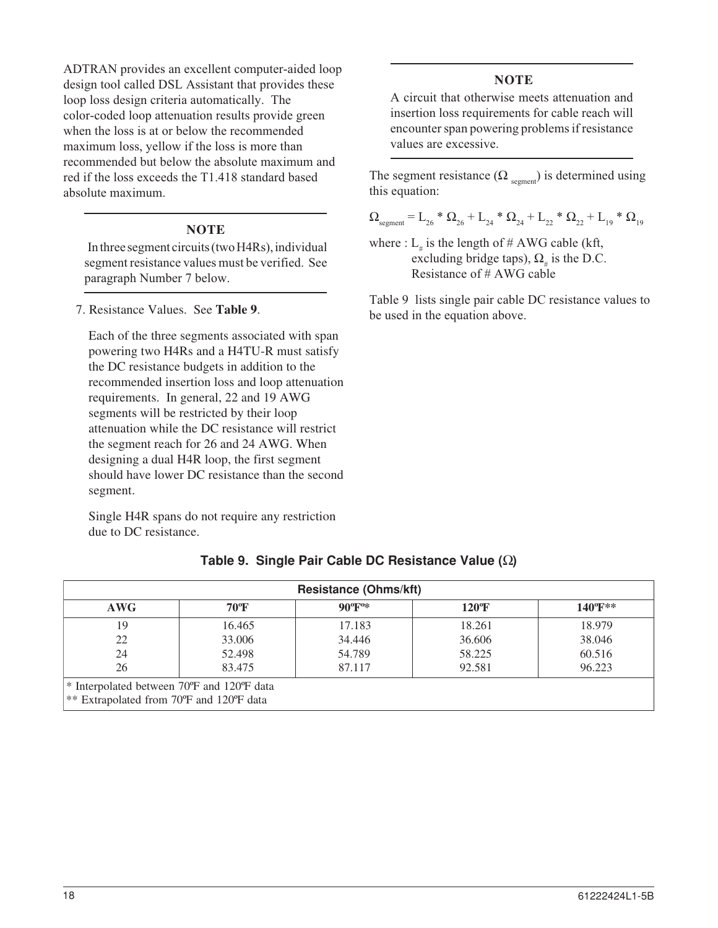ADTRAN provides an excellent computer-aided loop design tool called DSL Assistant that provides these loop loss design criteria automatically. The color-coded loop attenuation results provide green when the loss is at or below the recommended maximum loss, yellow if the loss is more than recommended but below the absolute maximum and red if the loss exceeds the T1.418 standard based absolute maximum.

#### **NOTE**

 In three segment circuits (two H4Rs), individual segment resistance values must be verified. See paragraph Number 7 below.

7. Resistance Values. See **Table 9**.

Each of the three segments associated with span powering two H4Rs and a H4TU-R must satisfy the DC resistance budgets in addition to the recommended insertion loss and loop attenuation requirements. In general, 22 and 19 AWG segments will be restricted by their loop attenuation while the DC resistance will restrict the segment reach for 26 and 24 AWG. When designing a dual H4R loop, the first segment should have lower DC resistance than the second segment.

Single H4R spans do not require any restriction due to DC resistance.

## **NOTE**

A circuit that otherwise meets attenuation and insertion loss requirements for cable reach will encounter span powering problems if resistance values are excessive.

The segment resistance  $(\Omega_{\text{segment}})$  is determined using this equation:

$$
\Omega_{\rm segment} = L_{26} \ast \Omega_{26} + L_{24} \ast \Omega_{24} + L_{22} \ast \Omega_{22} + L_{19} \ast \Omega_{19}
$$

where :  $L_{\mu}$  is the length of  $\#$  AWG cable (kft, excluding bridge taps),  $\Omega_{\mu}$  is the D.C. Resistance of # AWG cable

Table 9 lists single pair cable DC resistance values to be used in the equation above.

| <b>Resistance (Ohms/kft)</b>                                                                                 |                |                              |                 |                   |  |  |
|--------------------------------------------------------------------------------------------------------------|----------------|------------------------------|-----------------|-------------------|--|--|
| AWG                                                                                                          | $70^{\circ}$ F | $90^{\circ}$ F <sup>o*</sup> | $120^{\circ}$ F | $140^{\circ}$ F** |  |  |
| 19                                                                                                           | 16.465         | 17.183                       | 18.261          | 18.979            |  |  |
| 22                                                                                                           | 33,006         | 34.446                       | 36.606          | 38.046            |  |  |
| 24                                                                                                           | 52.498         | 54.789                       | 58.225          | 60.516            |  |  |
| 26                                                                                                           | 83.475         | 87.117                       | 92.581          | 96.223            |  |  |
| <sup>*</sup> Interpolated between 70°F and 120°F data<br><sup>**</sup> Extrapolated from 70°F and 120°F data |                |                              |                 |                   |  |  |

# **Table 9. Single Pair Cable DC Resistance Value (**Ω**)**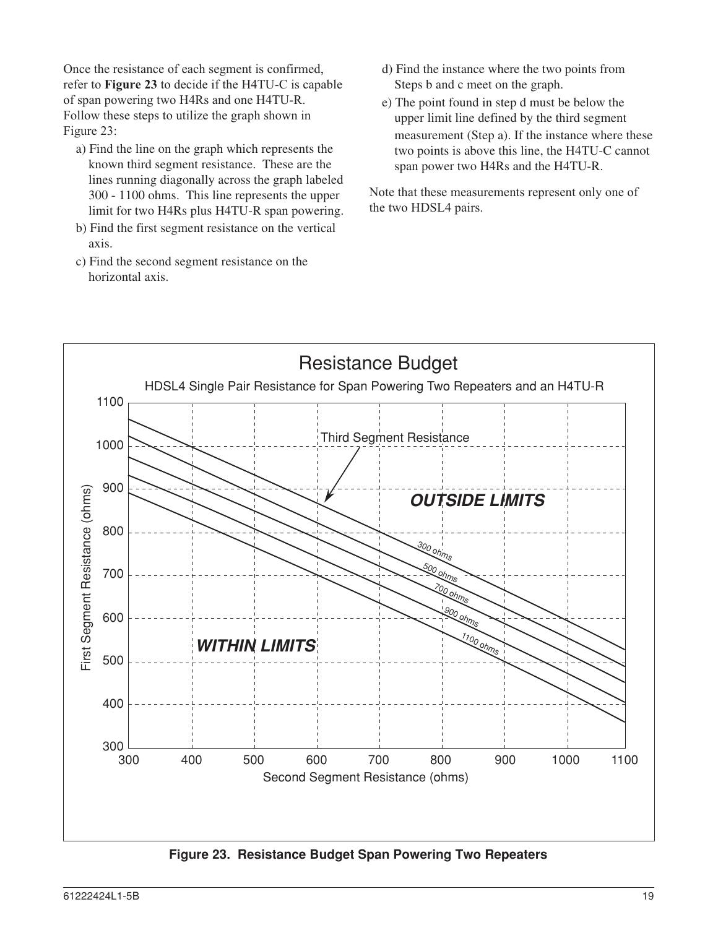Once the resistance of each segment is confirmed, refer to **Figure 23** to decide if the H4TU-C is capable of span powering two H4Rs and one H4TU-R. Follow these steps to utilize the graph shown in Figure 23:

- a) Find the line on the graph which represents the known third segment resistance. These are the lines running diagonally across the graph labeled 300 - 1100 ohms. This line represents the upper limit for two H4Rs plus H4TU-R span powering.
- b) Find the first segment resistance on the vertical axis.
- c) Find the second segment resistance on the horizontal axis.
- d) Find the instance where the two points from Steps b and c meet on the graph.
- e) The point found in step d must be below the upper limit line defined by the third segment measurement (Step a). If the instance where these two points is above this line, the H4TU-C cannot span power two H4Rs and the H4TU-R.

Note that these measurements represent only one of the two HDSL4 pairs.

![](_page_18_Figure_7.jpeg)

**Figure 23. Resistance Budget Span Powering Two Repeaters**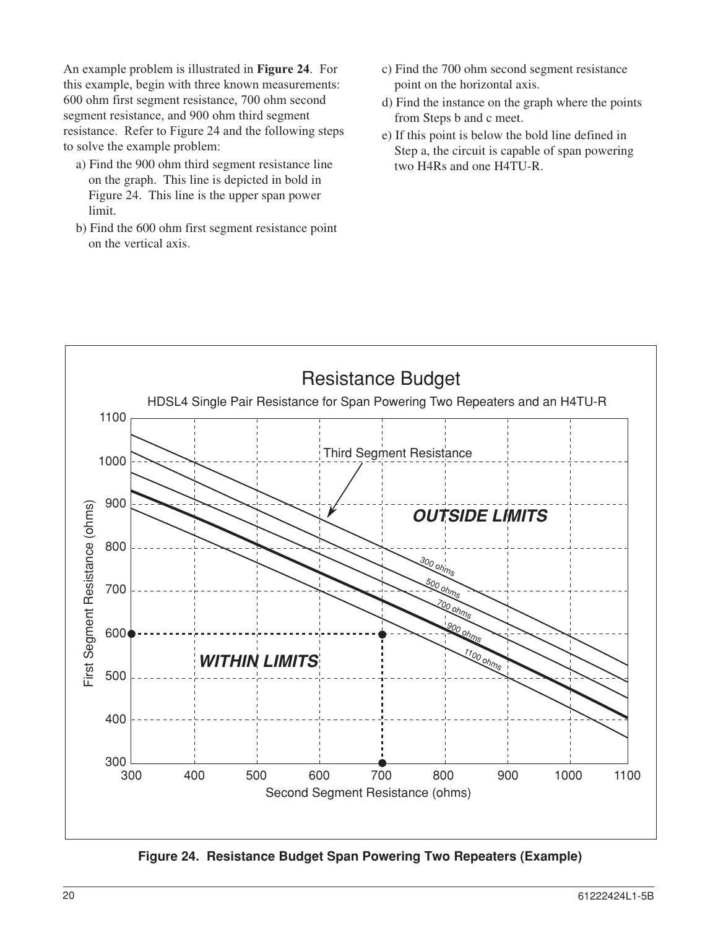An example problem is illustrated in **Figure 24**. For this example, begin with three known measurements: 600 ohm first segment resistance, 700 ohm second segment resistance, and 900 ohm third segment resistance. Refer to Figure 24 and the following steps to solve the example problem:

- a) Find the 900 ohm third segment resistance line on the graph. This line is depicted in bold in Figure 24. This line is the upper span power limit.
- b) Find the 600 ohm first segment resistance point on the vertical axis.
- c) Find the 700 ohm second segment resistance point on the horizontal axis.
- d) Find the instance on the graph where the points from Steps b and c meet.
- e) If this point is below the bold line defined in Step a, the circuit is capable of span powering two H4Rs and one H4TU-R.

![](_page_19_Figure_6.jpeg)

**Figure 24. Resistance Budget Span Powering Two Repeaters (Example)**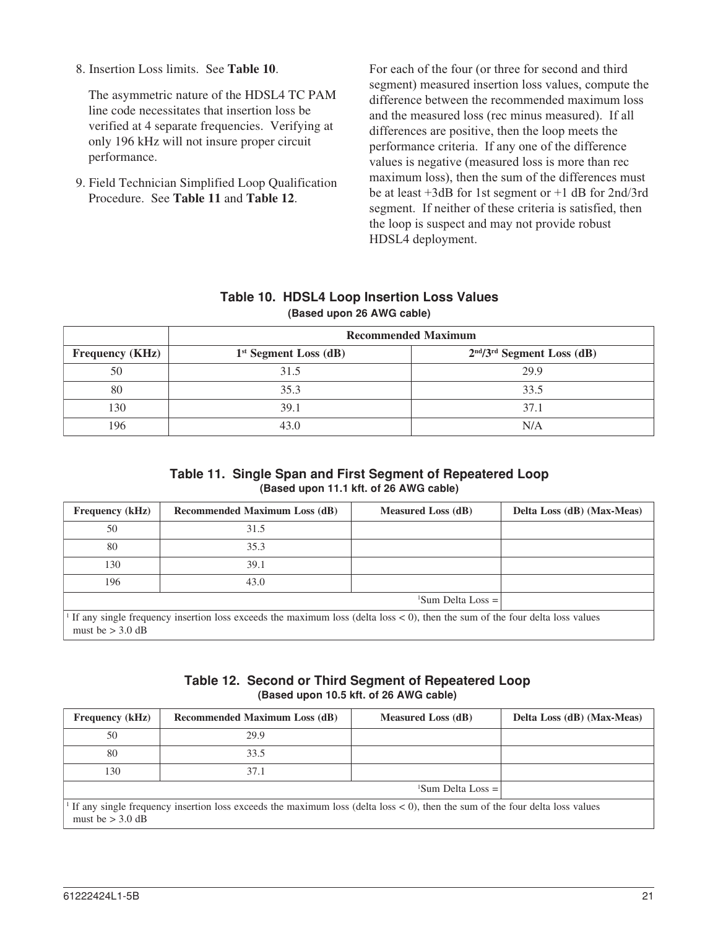8. Insertion Loss limits. See **Table 10**.

The asymmetric nature of the HDSL4 TC PAM line code necessitates that insertion loss be verified at 4 separate frequencies. Verifying at only 196 kHz will not insure proper circuit performance.

9. Field Technician Simplified Loop Qualification Procedure. See **Table 11** and **Table 12**.

For each of the four (or three for second and third segment) measured insertion loss values, compute the difference between the recommended maximum loss and the measured loss (rec minus measured). If all differences are positive, then the loop meets the performance criteria. If any one of the difference values is negative (measured loss is more than rec maximum loss), then the sum of the differences must be at least +3dB for 1st segment or +1 dB for 2nd/3rd segment. If neither of these criteria is satisfied, then the loop is suspect and may not provide robust HDSL4 deployment.

## **Table 10. HDSL4 Loop Insertion Loss Values (Based upon 26 AWG cable)**

|                        | <b>Recommended Maximum</b>        |                             |  |  |  |  |
|------------------------|-----------------------------------|-----------------------------|--|--|--|--|
| <b>Frequency (KHz)</b> | 1 <sup>st</sup> Segment Loss (dB) | $2nd/3rd Segment Loss (dB)$ |  |  |  |  |
| 50                     | 31.5                              | 29.9                        |  |  |  |  |
| 80                     | 35.3                              | 33.5                        |  |  |  |  |
| 130                    | 39.1                              | 37.1                        |  |  |  |  |
| 196                    | 43.0                              | N/A                         |  |  |  |  |

#### **Table 11. Single Span and First Segment of Repeatered Loop (Based upon 11.1 kft. of 26 AWG cable)**

| <b>Frequency</b> (kHz)                                                                                                                                            | <b>Recommended Maximum Loss (dB)</b> | <b>Measured Loss (dB)</b> | Delta Loss (dB) (Max-Meas) |
|-------------------------------------------------------------------------------------------------------------------------------------------------------------------|--------------------------------------|---------------------------|----------------------------|
| 50                                                                                                                                                                | 31.5                                 |                           |                            |
| 80                                                                                                                                                                | 35.3                                 |                           |                            |
| 130                                                                                                                                                               | 39.1                                 |                           |                            |
| 196                                                                                                                                                               | 43.0                                 |                           |                            |
| <sup>1</sup> Sum Delta Loss = $\vert$                                                                                                                             |                                      |                           |                            |
| <sup>1</sup> If any single frequency insertion loss exceeds the maximum loss (delta loss $<$ 0), then the sum of the four delta loss values<br>must be $>$ 3.0 dB |                                      |                           |                            |

## **Table 12. Second or Third Segment of Repeatered Loop (Based upon 10.5 kft. of 26 AWG cable)**

| <b>Frequency (kHz)</b>                                                                                                                                            | <b>Recommended Maximum Loss (dB)</b> | <b>Measured Loss (dB)</b> | Delta Loss (dB) (Max-Meas) |  |
|-------------------------------------------------------------------------------------------------------------------------------------------------------------------|--------------------------------------|---------------------------|----------------------------|--|
| 50                                                                                                                                                                | 29.9                                 |                           |                            |  |
| 80                                                                                                                                                                | 33.5                                 |                           |                            |  |
| 130                                                                                                                                                               | 37.1                                 |                           |                            |  |
| <sup>1</sup> Sum Delta Loss $=$                                                                                                                                   |                                      |                           |                            |  |
| <sup>1</sup> If any single frequency insertion loss exceeds the maximum loss (delta loss $<$ 0), then the sum of the four delta loss values<br>must be $>$ 3.0 dB |                                      |                           |                            |  |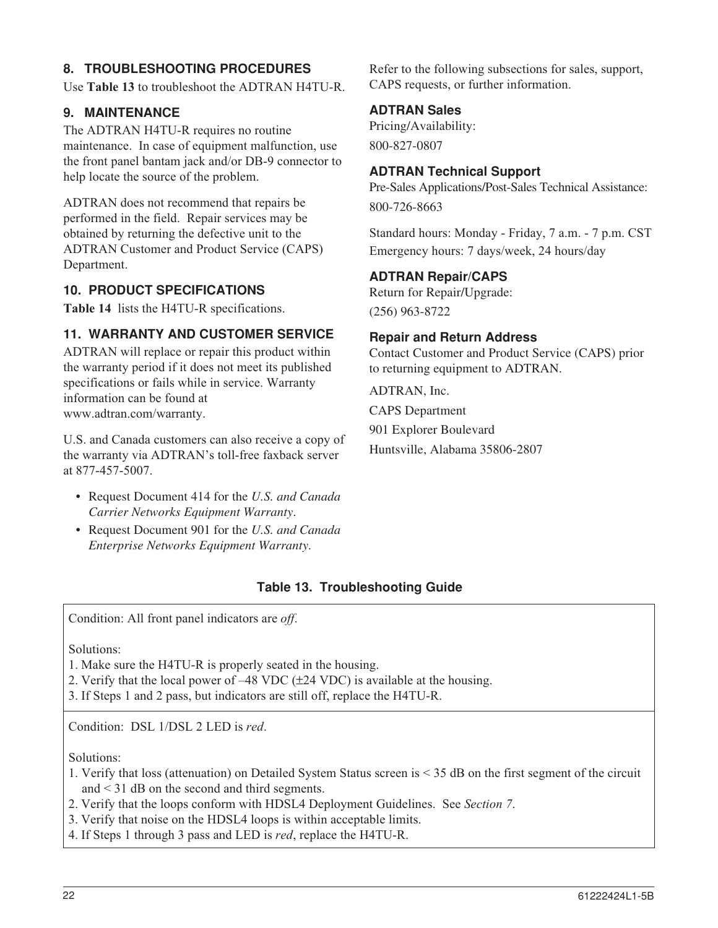# **8. TROUBLESHOOTING PROCEDURES**

Use **Table 13** to troubleshoot the ADTRAN H4TU-R.

# **9. MAINTENANCE**

The ADTRAN H4TU-R requires no routine maintenance. In case of equipment malfunction, use the front panel bantam jack and/or DB-9 connector to help locate the source of the problem.

ADTRAN does not recommend that repairs be performed in the field. Repair services may be obtained by returning the defective unit to the ADTRAN Customer and Product Service (CAPS) Department.

# **10. PRODUCT SPECIFICATIONS**

**Table 14** lists the H4TU-R specifications.

## **11. WARRANTY AND CUSTOMER SERVICE**

ADTRAN will replace or repair this product within the warranty period if it does not meet its published specifications or fails while in service. Warranty information can be found at www.adtran.com/warranty.

U.S. and Canada customers can also receive a copy of the warranty via ADTRAN's toll-free faxback server at 877-457-5007.

- Request Document 414 for the *U.S. and Canada Carrier Networks Equipment Warranty*.
- Request Document 901 for the *U.S. and Canada Enterprise Networks Equipment Warranty*.

Refer to the following subsections for sales, support, CAPS requests, or further information.

## **ADTRAN Sales**

Pricing/Availability: 800-827-0807

## **ADTRAN Technical Support**

Pre-Sales Applications/Post-Sales Technical Assistance: 800-726-8663

Standard hours: Monday - Friday, 7 a.m. - 7 p.m. CST Emergency hours: 7 days/week, 24 hours/day

## **ADTRAN Repair/CAPS**

Return for Repair/Upgrade:

(256) 963-8722

# **Repair and Return Address**

Contact Customer and Product Service (CAPS) prior to returning equipment to ADTRAN.

ADTRAN, Inc.

CAPS Department

901 Explorer Boulevard

Huntsville, Alabama 35806-2807

# **Table 13. Troubleshooting Guide**

Condition: All front panel indicators are *off*.

Solutions:

1. Make sure the H4TU-R is properly seated in the housing.

2. Verify that the local power of –48 VDC (±24 VDC) is available at the housing.

3. If Steps 1 and 2 pass, but indicators are still off, replace the H4TU-R.

Condition: DSL 1/DSL 2 LED is *red*.

Solutions:

- 1. Verify that loss (attenuation) on Detailed System Status screen is < 35 dB on the first segment of the circuit and < 31 dB on the second and third segments.
- 2. Verify that the loops conform with HDSL4 Deployment Guidelines. See *Section 7*.
- 3. Verify that noise on the HDSL4 loops is within acceptable limits.
- 4. If Steps 1 through 3 pass and LED is *red*, replace the H4TU-R.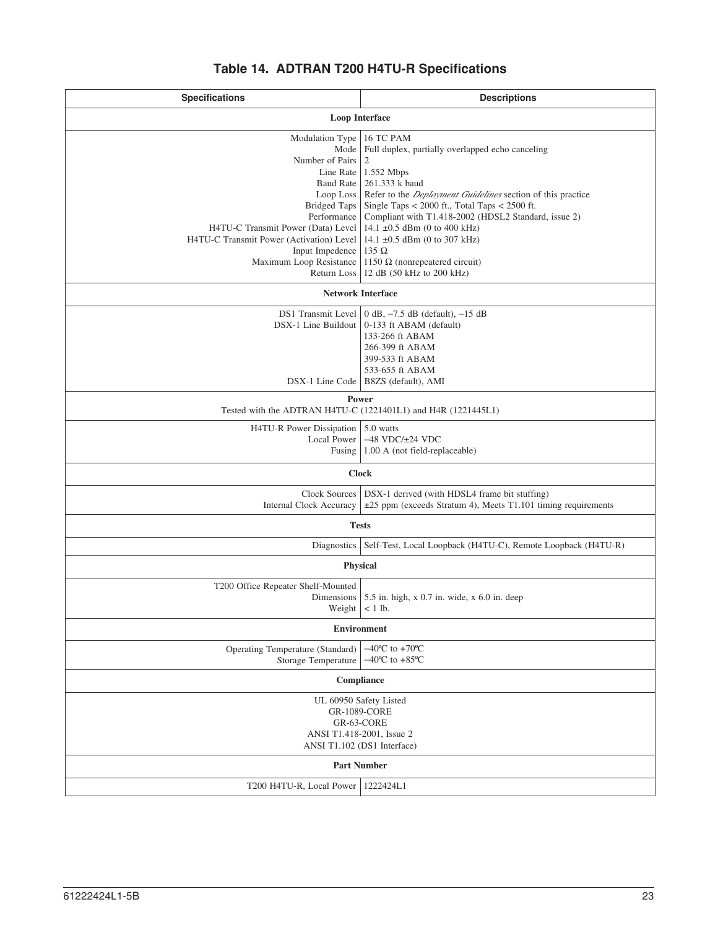| <b>Specifications</b>                                                                                                                                                                              | <b>Descriptions</b>                                                                                                                                                                                                                                                                                                                                                          |  |  |  |
|----------------------------------------------------------------------------------------------------------------------------------------------------------------------------------------------------|------------------------------------------------------------------------------------------------------------------------------------------------------------------------------------------------------------------------------------------------------------------------------------------------------------------------------------------------------------------------------|--|--|--|
| <b>Loop Interface</b>                                                                                                                                                                              |                                                                                                                                                                                                                                                                                                                                                                              |  |  |  |
| Modulation Type<br>Mode<br>Number of Pairs<br>Line Rate<br>Baud Rate<br>Loop Loss<br>Bridged Taps<br>Performance<br>H4TU-C Transmit Power (Data) Level<br>H4TU-C Transmit Power (Activation) Level | 16 TC PAM<br>Full duplex, partially overlapped echo canceling<br>$\overline{2}$<br>1.552 Mbps<br>261.333 k baud<br>Refer to the <i>Deployment Guidelines</i> section of this practice<br>Single Taps $<$ 2000 ft., Total Taps $<$ 2500 ft.<br>Compliant with T1.418-2002 (HDSL2 Standard, issue 2)<br>14.1 $\pm 0.5$ dBm (0 to 400 kHz)<br>14.1 $\pm 0.5$ dBm (0 to 307 kHz) |  |  |  |
| Input Impedence<br>Maximum Loop Resistance<br>Return Loss                                                                                                                                          | $135 \Omega$<br>1150 $\Omega$ (nonrepeatered circuit)<br>12 dB (50 kHz to 200 kHz)                                                                                                                                                                                                                                                                                           |  |  |  |
|                                                                                                                                                                                                    | <b>Network Interface</b>                                                                                                                                                                                                                                                                                                                                                     |  |  |  |
| DSX-1 Line Buildout<br>DSX-1 Line Code                                                                                                                                                             | DS1 Transmit Level   0 dB, -7.5 dB (default), -15 dB<br>0-133 ft ABAM (default)<br>133-266 ft ABAM<br>266-399 ft ABAM<br>399-533 ft ABAM<br>533-655 ft ABAM<br>B8ZS (default), AMI                                                                                                                                                                                           |  |  |  |
|                                                                                                                                                                                                    | Power<br>Tested with the ADTRAN H4TU-C (1221401L1) and H4R (1221445L1)                                                                                                                                                                                                                                                                                                       |  |  |  |
| H4TU-R Power Dissipation   5.0 watts<br>Local Power                                                                                                                                                | $-48$ VDC/ $\pm 24$ VDC<br>Fusing   1.00 A (not field-replaceable)                                                                                                                                                                                                                                                                                                           |  |  |  |
|                                                                                                                                                                                                    | <b>Clock</b>                                                                                                                                                                                                                                                                                                                                                                 |  |  |  |
| Clock Sources<br><b>Internal Clock Accuracy</b>                                                                                                                                                    | DSX-1 derived (with HDSL4 frame bit stuffing)<br>$\pm 25$ ppm (exceeds Stratum 4), Meets T1.101 timing requirements                                                                                                                                                                                                                                                          |  |  |  |
|                                                                                                                                                                                                    | <b>Tests</b>                                                                                                                                                                                                                                                                                                                                                                 |  |  |  |
| Diagnostics                                                                                                                                                                                        | Self-Test, Local Loopback (H4TU-C), Remote Loopback (H4TU-R)                                                                                                                                                                                                                                                                                                                 |  |  |  |
|                                                                                                                                                                                                    | <b>Physical</b>                                                                                                                                                                                                                                                                                                                                                              |  |  |  |
| T200 Office Repeater Shelf-Mounted<br>Dimensions  <br>Weight                                                                                                                                       | 5.5 in. high, x 0.7 in. wide, x 6.0 in. deep<br>$< 1$ lb.                                                                                                                                                                                                                                                                                                                    |  |  |  |
| <b>Environment</b>                                                                                                                                                                                 |                                                                                                                                                                                                                                                                                                                                                                              |  |  |  |
| Operating Temperature (Standard)<br>$-40^{\circ}$ C to $+70^{\circ}$ C<br>$-40^{\circ}$ C to $+85^{\circ}$ C<br>Storage Temperature                                                                |                                                                                                                                                                                                                                                                                                                                                                              |  |  |  |
| Compliance                                                                                                                                                                                         |                                                                                                                                                                                                                                                                                                                                                                              |  |  |  |
| UL 60950 Safety Listed<br><b>GR-1089-CORE</b><br>GR-63-CORE<br>ANSI T1.418-2001, Issue 2<br>ANSI T1.102 (DS1 Interface)                                                                            |                                                                                                                                                                                                                                                                                                                                                                              |  |  |  |
| <b>Part Number</b>                                                                                                                                                                                 |                                                                                                                                                                                                                                                                                                                                                                              |  |  |  |
| T200 H4TU-R, Local Power                                                                                                                                                                           | 1222424L1                                                                                                                                                                                                                                                                                                                                                                    |  |  |  |

# **Table 14. ADTRAN T200 H4TU-R Specifications**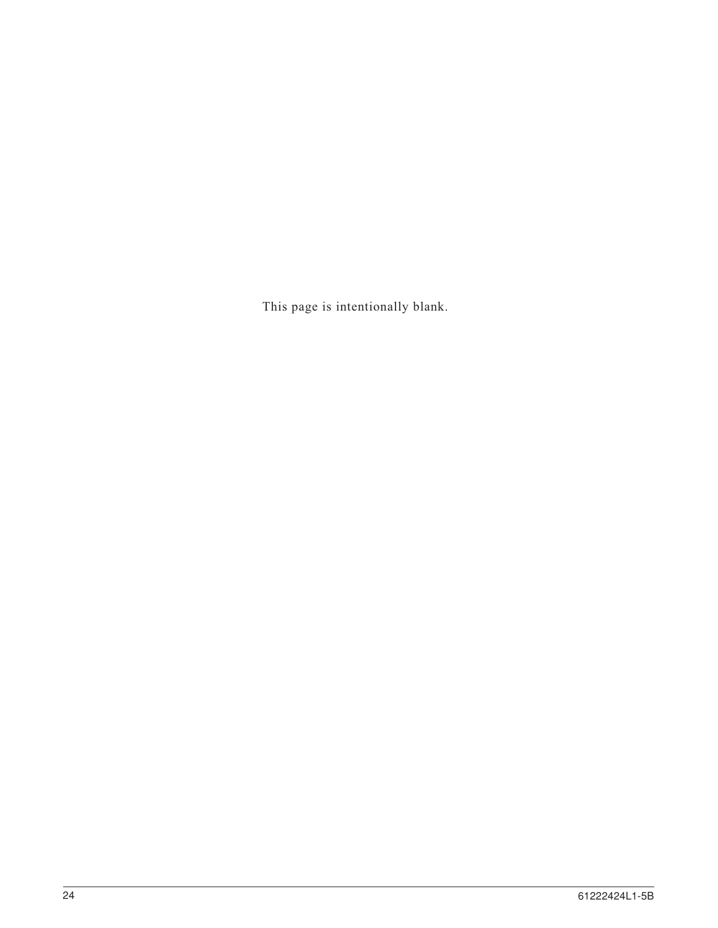This page is intentionally blank.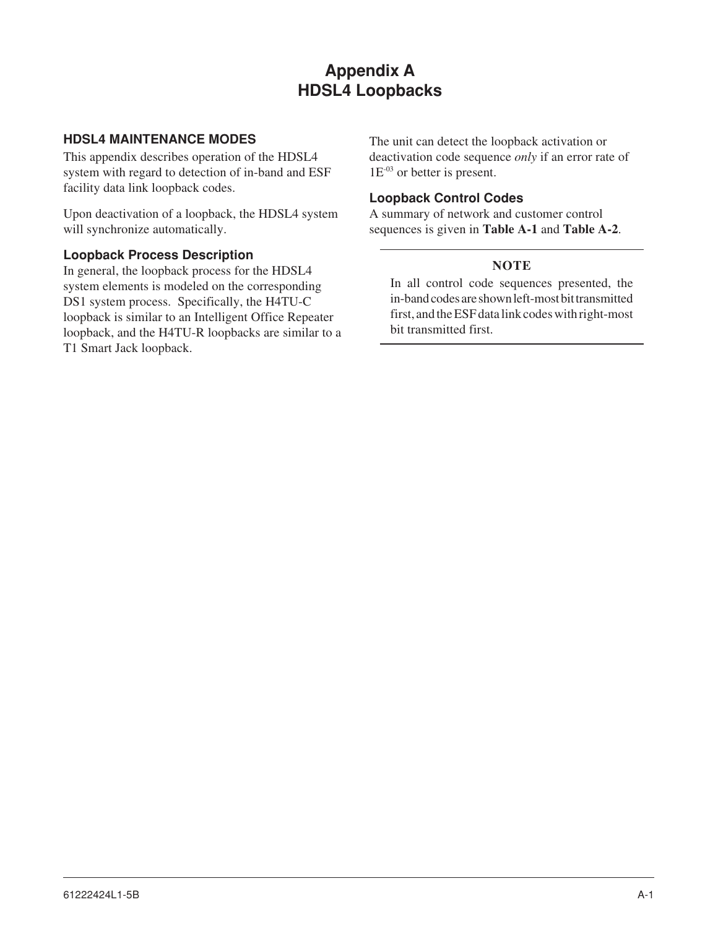# **Appendix A HDSL4 Loopbacks**

## **HDSL4 MAINTENANCE MODES**

This appendix describes operation of the HDSL4 system with regard to detection of in-band and ESF facility data link loopback codes.

Upon deactivation of a loopback, the HDSL4 system will synchronize automatically.

## **Loopback Process Description**

In general, the loopback process for the HDSL4 system elements is modeled on the corresponding DS1 system process. Specifically, the H4TU-C loopback is similar to an Intelligent Office Repeater loopback, and the H4TU-R loopbacks are similar to a T1 Smart Jack loopback.

The unit can detect the loopback activation or deactivation code sequence *only* if an error rate of 1E<sup>-03</sup> or better is present.

# **Loopback Control Codes**

A summary of network and customer control sequences is given in **Table A-1** and **Table A-2**.

## **NOTE**

In all control code sequences presented, the in-band codes are shown left-most bit transmitted first, and the ESF data link codes with right-most bit transmitted first.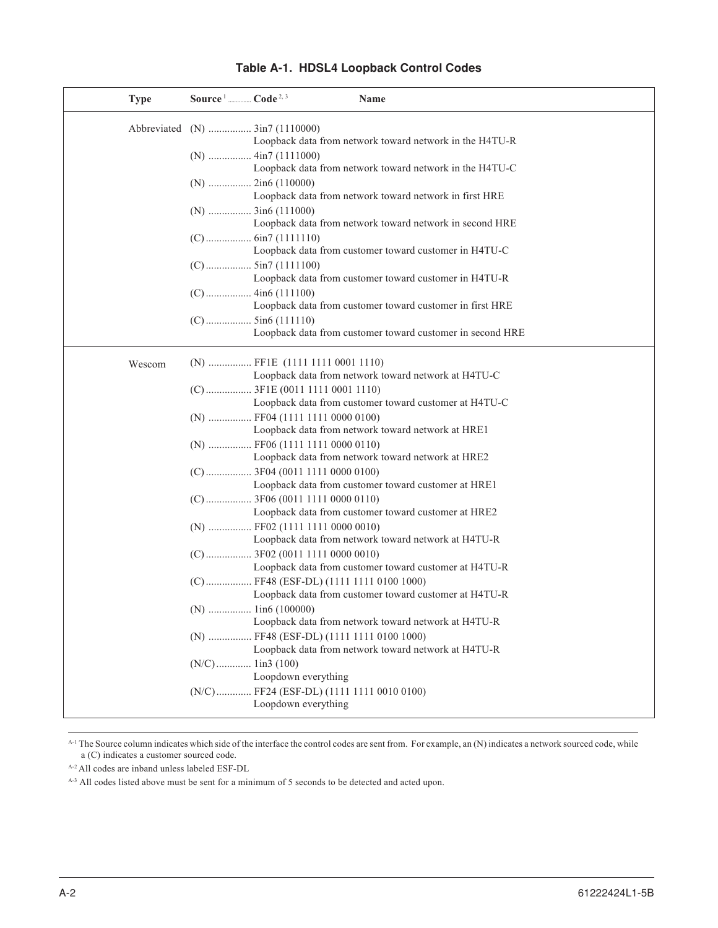| <b>Type</b> | Source <sup>1</sup> Code <sup>2,3</sup> |                                           | Name                                                      |
|-------------|-----------------------------------------|-------------------------------------------|-----------------------------------------------------------|
|             |                                         | Abbreviated (N)  3in7 (1110000)           | Loopback data from network toward network in the H4TU-R   |
|             |                                         |                                           | Loopback data from network toward network in the H4TU-C   |
|             |                                         |                                           | Loopback data from network toward network in first HRE    |
|             |                                         | $(N)$ 3in6 (111000)                       | Loopback data from network toward network in second HRE   |
|             |                                         |                                           | Loopback data from customer toward customer in H4TU-C     |
|             |                                         |                                           | Loopback data from customer toward customer in H4TU-R     |
|             |                                         |                                           | Loopback data from customer toward customer in first HRE  |
|             |                                         |                                           | Loopback data from customer toward customer in second HRE |
|             |                                         |                                           |                                                           |
| Wescom      |                                         | (N)  FF1E (1111 1111 0001 1110)           | Loopback data from network toward network at H4TU-C       |
|             |                                         |                                           |                                                           |
|             |                                         | (N)  FF04 (1111 1111 0000 0100)           | Loopback data from customer toward customer at H4TU-C     |
|             |                                         |                                           | Loopback data from network toward network at HRE1         |
|             |                                         | (N)  FF06 (1111 1111 0000 0110)           |                                                           |
|             |                                         |                                           | Loopback data from network toward network at HRE2         |
|             |                                         | $(C)$ 3F04 (0011 1111 0000 0100)          |                                                           |
|             |                                         |                                           | Loopback data from customer toward customer at HRE1       |
|             |                                         |                                           | Loopback data from customer toward customer at HRE2       |
|             |                                         | (N)  FF02 (1111 1111 0000 0010)           |                                                           |
|             |                                         |                                           | Loopback data from network toward network at H4TU-R       |
|             |                                         | $(C)$ 3F02 (0011 1111 0000 0010)          |                                                           |
|             |                                         |                                           | Loopback data from customer toward customer at H4TU-R     |
|             |                                         | (C)  FF48 (ESF-DL) (1111 1111 0100 1000)  |                                                           |
|             |                                         |                                           | Loopback data from customer toward customer at H4TU-R     |
|             |                                         |                                           | Loopback data from network toward network at H4TU-R       |
|             |                                         | (N)  FF48 (ESF-DL) (1111 1111 0100 1000)  |                                                           |
|             |                                         |                                           | Loopback data from network toward network at H4TU-R       |
|             | $(N/C)$ 1in3 (100)                      |                                           |                                                           |
|             |                                         | Loopdown everything                       |                                                           |
|             |                                         | (N/C) FF24 (ESF-DL) (1111 1111 0010 0100) |                                                           |
|             |                                         | Loopdown everything                       |                                                           |

#### **Table A-1. HDSL4 Loopback Control Codes**

<sup>A-1</sup> The Source column indicates which side of the interface the control codes are sent from. For example, an (N) indicates a network sourced code, while a (C) indicates a customer sourced code.

A-2 All codes are inband unless labeled ESF-DL

A-3 All codes listed above must be sent for a minimum of 5 seconds to be detected and acted upon.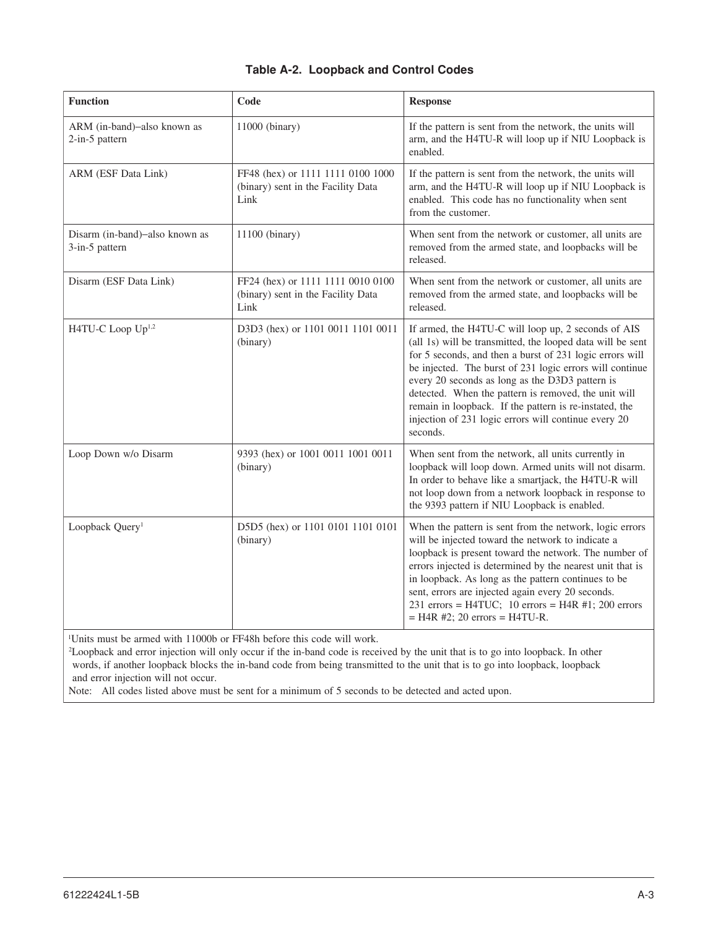|  | <b>Table A-2. Loopback and Control Codes</b> |  |  |  |
|--|----------------------------------------------|--|--|--|
|--|----------------------------------------------|--|--|--|

| <b>Function</b>                                  | Code                                                                            | <b>Response</b>                                                                                                                                                                                                                                                                                                                                                                                                                                                                    |  |
|--------------------------------------------------|---------------------------------------------------------------------------------|------------------------------------------------------------------------------------------------------------------------------------------------------------------------------------------------------------------------------------------------------------------------------------------------------------------------------------------------------------------------------------------------------------------------------------------------------------------------------------|--|
| ARM (in-band)-also known as<br>2-in-5 pattern    | 11000 (binary)                                                                  | If the pattern is sent from the network, the units will<br>arm, and the H4TU-R will loop up if NIU Loopback is<br>enabled.                                                                                                                                                                                                                                                                                                                                                         |  |
| ARM (ESF Data Link)                              | FF48 (hex) or 1111 1111 0100 1000<br>(binary) sent in the Facility Data<br>Link | If the pattern is sent from the network, the units will<br>arm, and the H4TU-R will loop up if NIU Loopback is<br>enabled. This code has no functionality when sent<br>from the customer.                                                                                                                                                                                                                                                                                          |  |
| Disarm (in-band)-also known as<br>3-in-5 pattern | 11100 (binary)                                                                  | When sent from the network or customer, all units are<br>removed from the armed state, and loopbacks will be<br>released.                                                                                                                                                                                                                                                                                                                                                          |  |
| Disarm (ESF Data Link)                           | FF24 (hex) or 1111 1111 0010 0100<br>(binary) sent in the Facility Data<br>Link | When sent from the network or customer, all units are<br>removed from the armed state, and loopbacks will be<br>released.                                                                                                                                                                                                                                                                                                                                                          |  |
| H4TU-C Loop Up <sup>1,2</sup>                    | D3D3 (hex) or 1101 0011 1101 0011<br>(binary)                                   | If armed, the H4TU-C will loop up, 2 seconds of AIS<br>(all 1s) will be transmitted, the looped data will be sent<br>for 5 seconds, and then a burst of 231 logic errors will<br>be injected. The burst of 231 logic errors will continue<br>every 20 seconds as long as the D3D3 pattern is<br>detected. When the pattern is removed, the unit will<br>remain in loopback. If the pattern is re-instated, the<br>injection of 231 logic errors will continue every 20<br>seconds. |  |
| Loop Down w/o Disarm                             | 9393 (hex) or 1001 0011 1001 0011<br>(binary)                                   | When sent from the network, all units currently in<br>loopback will loop down. Armed units will not disarm.<br>In order to behave like a smartjack, the H4TU-R will<br>not loop down from a network loopback in response to<br>the 9393 pattern if NIU Loopback is enabled.                                                                                                                                                                                                        |  |
| Loopback Query <sup>1</sup>                      | D5D5 (hex) or 1101 0101 1101 0101<br>(binary)                                   | When the pattern is sent from the network, logic errors<br>will be injected toward the network to indicate a<br>loopback is present toward the network. The number of<br>errors injected is determined by the nearest unit that is<br>in loopback. As long as the pattern continues to be<br>sent, errors are injected again every 20 seconds.<br>231 errors = H4TUC; 10 errors = H4R #1; 200 errors<br>$=$ H4R #2; 20 errors $=$ H4TU-R.                                          |  |

<sup>1</sup>Units must be armed with 11000b or FF48h before this code will work.

2 Loopback and error injection will only occur if the in-band code is received by the unit that is to go into loopback. In other words, if another loopback blocks the in-band code from being transmitted to the unit that is to go into loopback, loopback and error injection will not occur.

Note: All codes listed above must be sent for a minimum of 5 seconds to be detected and acted upon.